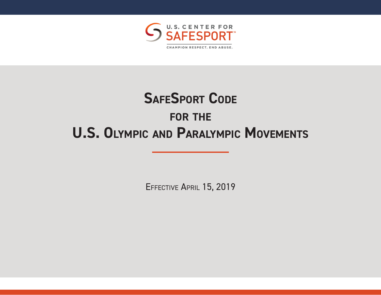

# **SAFESPORT CODE for the U.S. Olympic and Paralympic Movements**

EFFECTIVE APRIL 15, 2019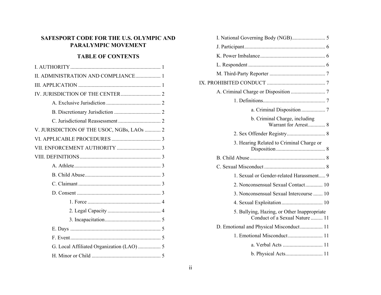# **SAFESPORT CODE FOR THE U.S. OLYMPIC AND PARALYMPIC MOVEMENT**

# **TABLE OF CONTENTS**

| II. ADMINISTRATION AND COMPLIANCE 1        |  |  |
|--------------------------------------------|--|--|
|                                            |  |  |
|                                            |  |  |
|                                            |  |  |
|                                            |  |  |
|                                            |  |  |
| V. JURISDICTION OF THE USOC, NGBs, LAOs  2 |  |  |
|                                            |  |  |
|                                            |  |  |
|                                            |  |  |
|                                            |  |  |
|                                            |  |  |
|                                            |  |  |
|                                            |  |  |
|                                            |  |  |
|                                            |  |  |
|                                            |  |  |
|                                            |  |  |
|                                            |  |  |
|                                            |  |  |
|                                            |  |  |

| b. Criminal Charge, including<br>Warrant for Arrest 8                         |  |
|-------------------------------------------------------------------------------|--|
|                                                                               |  |
| 3. Hearing Related to Criminal Charge or                                      |  |
|                                                                               |  |
|                                                                               |  |
| 1. Sexual or Gender-related Harassment 9                                      |  |
| 2. Nonconsensual Sexual Contact 10                                            |  |
| 3. Nonconsensual Sexual Intercourse  10                                       |  |
|                                                                               |  |
| 5. Bullying, Hazing, or Other Inappropriate<br>Conduct of a Sexual Nature  11 |  |
| D. Emotional and Physical Misconduct 11                                       |  |
| 1. Emotional Misconduct 11                                                    |  |
|                                                                               |  |
| b. Physical Acts 11                                                           |  |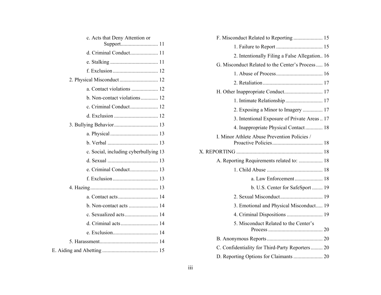| c. Acts that Deny Attention or        |
|---------------------------------------|
|                                       |
|                                       |
|                                       |
|                                       |
|                                       |
| a. Contact violations  12             |
| b. Non-contact violations 12          |
|                                       |
|                                       |
|                                       |
|                                       |
|                                       |
| c. Social, including cyberbullying 13 |
|                                       |
| e. Criminal Conduct 13                |
|                                       |
|                                       |
|                                       |
|                                       |
| c. Sexualized acts 14                 |
| d. Criminal acts 14                   |
|                                       |
|                                       |
|                                       |

| F. Misconduct Related to Reporting  15           |  |  |
|--------------------------------------------------|--|--|
|                                                  |  |  |
| 2. Intentionally Filing a False Allegation 16    |  |  |
| G. Misconduct Related to the Center's Process 16 |  |  |
|                                                  |  |  |
|                                                  |  |  |
|                                                  |  |  |
|                                                  |  |  |
| 2. Exposing a Minor to Imagery  17               |  |  |
| 3. Intentional Exposure of Private Areas  17     |  |  |
| 4. Inappropriate Physical Contact 18             |  |  |
| I. Minor Athlete Abuse Prevention Policies /     |  |  |
|                                                  |  |  |
|                                                  |  |  |
| A. Reporting Requirements related to:  18        |  |  |
|                                                  |  |  |
|                                                  |  |  |
| b. U.S. Center for SafeSport  19                 |  |  |
| 2. Sexual Misconduct 19                          |  |  |
| 3. Emotional and Physical Misconduct 19          |  |  |
| 4. Criminal Dispositions  19                     |  |  |
| 5. Misconduct Related to the Center's            |  |  |
|                                                  |  |  |
| C. Confidentiality for Third-Party Reporters 20  |  |  |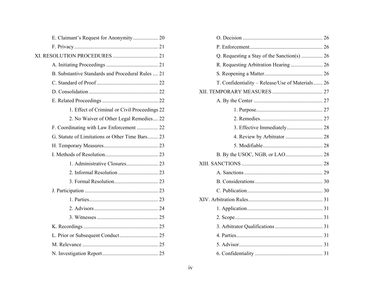| B. Substantive Standards and Procedural Rules  21 |  |
|---------------------------------------------------|--|
|                                                   |  |
|                                                   |  |
|                                                   |  |
| 1. Effect of Criminal or Civil Proceedings 22     |  |
| 2. No Waiver of Other Legal Remedies 22           |  |
| F. Coordinating with Law Enforcement  22          |  |
| G. Statute of Limitations or Other Time Bars 23   |  |
|                                                   |  |
|                                                   |  |
|                                                   |  |
|                                                   |  |
|                                                   |  |
|                                                   |  |
|                                                   |  |
|                                                   |  |
|                                                   |  |
|                                                   |  |
|                                                   |  |
|                                                   |  |
|                                                   |  |

| R. Requesting Arbitration Hearing  26            |
|--------------------------------------------------|
|                                                  |
| T. Confidentiality - Release/Use of Materials 26 |
|                                                  |
|                                                  |
|                                                  |
|                                                  |
|                                                  |
| 4. Review by Arbitrator  28                      |
|                                                  |
|                                                  |
|                                                  |
|                                                  |
|                                                  |
|                                                  |
|                                                  |
|                                                  |
|                                                  |
|                                                  |
|                                                  |
|                                                  |
|                                                  |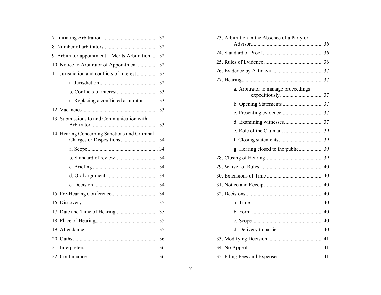| 9. Arbitrator appointment - Merits Arbitration  32                           |  |
|------------------------------------------------------------------------------|--|
| 10. Notice to Arbitrator of Appointment  32                                  |  |
| 11. Jurisdiction and conflicts of Interest  32                               |  |
|                                                                              |  |
|                                                                              |  |
| c. Replacing a conflicted arbitrator 33                                      |  |
|                                                                              |  |
| 13. Submissions to and Communication with                                    |  |
| 14. Hearing Concerning Sanctions and Criminal<br>Charges or Dispositions  34 |  |
|                                                                              |  |
|                                                                              |  |
|                                                                              |  |
|                                                                              |  |
|                                                                              |  |
|                                                                              |  |
|                                                                              |  |
|                                                                              |  |
|                                                                              |  |
|                                                                              |  |
|                                                                              |  |
|                                                                              |  |
|                                                                              |  |

| 23. Arbitration in the Absence of a Party or |  |
|----------------------------------------------|--|
|                                              |  |
|                                              |  |
|                                              |  |
|                                              |  |
|                                              |  |
| a. Arbitrator to manage proceedings          |  |
|                                              |  |
|                                              |  |
|                                              |  |
|                                              |  |
|                                              |  |
|                                              |  |
|                                              |  |
|                                              |  |
|                                              |  |
|                                              |  |
|                                              |  |
|                                              |  |
|                                              |  |
|                                              |  |
|                                              |  |
|                                              |  |
|                                              |  |
|                                              |  |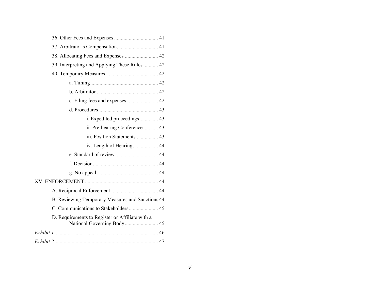| 38. Allocating Fees and Expenses  42             |
|--------------------------------------------------|
| 39. Interpreting and Applying These Rules  42    |
|                                                  |
|                                                  |
|                                                  |
|                                                  |
|                                                  |
| i. Expedited proceedings 43                      |
| ii. Pre-hearing Conference  43                   |
| iii. Position Statements  43                     |
|                                                  |
|                                                  |
|                                                  |
|                                                  |
|                                                  |
|                                                  |
| B. Reviewing Temporary Measures and Sanctions 44 |
| C. Communications to Stakeholders 45             |
| D. Requirements to Register or Affiliate with a  |
|                                                  |
|                                                  |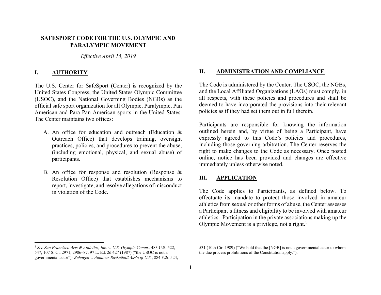# <span id="page-6-0"></span>**SAFESPORT CODE FOR THE U.S. OLYMPIC AND PARALYMPIC MOVEMENT**

*Effective April 15, 2019* 

#### **I.AUTHORITY**

The U.S. Center for SafeSport (Center) is recognized by the United States Congress, the United States Olympic Committee (USOC), and the National Governing Bodies (NGBs) as the official safe sport organization for all Olympic, Paralympic, Pan American and Para Pan American sports in the United States. The Center maintains two offices:

- A. An office for education and outreach (Education & Outreach Office) that develops training, oversight practices, policies, and procedures to prevent the abuse, (including emotional, physical, and sexual abuse) of participants.
- B. An office for response and resolution (Response  $\&$ Resolution Office) that establishes mechanisms to report, investigate, and resolve allegations of misconduct in violation of the Code.

#### **II.ADMINISTRATION AND COMPLIANCE**

The Code is administered by the Center. The USOC, the NGBs, and the Local Affiliated Organizations (LAOs) must comply, in all respects, with these policies and procedures and shall be deemed to have incorporated the provisions into their relevant policies as if they had set them out in full therein.

Participants are responsible for knowing the information outlined herein and, by virtue of being a Participant, have expressly agreed to this Code's policies and procedures, including those governing arbitration. The Center reserves the right to make changes to the Code as necessary. Once posted online, notice has been provided and changes are effective immediately unless otherwise noted.

#### **III.APPLICATION**

The Code applies to Participants, as defined below. To effectuate its mandate to protect those involved in amateur athletics from sexual or other forms of abuse, the Center assesses a Participant's fitness and eligibility to be involved with amateur athletics. Participation in the private associations making up the Olympic Movement is a privilege, not a right.<sup>1</sup>

<sup>1</sup> *See San Francisco Arts & Athletics, Inc. v. U.S. Olympic Comm.,* 483 U.S. 522, 547, 107 S. Ct. 2971, 2986–87, 97 L. Ed. 2d 427 (1987) ("the USOC is not a governmental actor")*; Behagen v. Amateur Basketball Ass'n of U.S.*, 884 F.2d 524,

<sup>531 (10</sup>th Cir. 1989) ("We hold that the [NGB] is not a governmental actor to whom the due process prohibitions of the Constitution apply.").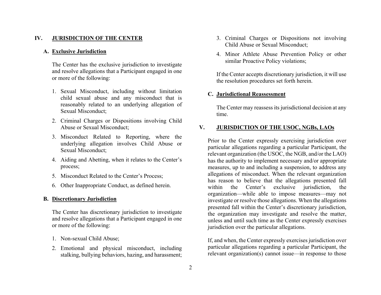#### <span id="page-7-0"></span>**IV.JURISDICTION OF THE CENTER**

#### **A. Exclusive Jurisdiction**

The Center has the exclusive jurisdiction to investigate and resolve allegations that a Participant engaged in one or more of the following:

- 1. Sexual Misconduct, including without limitation child sexual abuse and any misconduct that is reasonably related to an underlying allegation of Sexual Misconduct;
- 2. Criminal Charges or Dispositions involving Child Abuse or Sexual Misconduct;
- 3. Misconduct Related to Reporting, where the underlying allegation involves Child Abuse or Sexual Misconduct;
- 4. Aiding and Abetting, when it relates to the Center's process;
- 5. Misconduct Related to the Center's Process;
- 6. Other Inappropriate Conduct, as defined herein.

#### **B. Discretionary Jurisdiction**

The Center has discretionary jurisdiction to investigate and resolve allegations that a Participant engaged in one or more of the following:

- 1. Non-sexual Child Abuse;
- 2. Emotional and physical misconduct, including stalking, bullying behaviors, hazing, and harassment;
- 3. Criminal Charges or Dispositions not involving Child Abuse or Sexual Misconduct;
- 4. Minor Athlete Abuse Prevention Policy or other similar Proactive Policy violations;

If the Center accepts discretionary jurisdiction, it will use the resolution procedures set forth herein.

#### **C. Jurisdictional Reassessment**

The Center may reassess its jurisdictional decision at any time.

#### **V.JURISDICTION OF THE USOC, NGBs, LAOs**

Prior to the Center expressly exercising jurisdiction over particular allegations regarding a particular Participant, the relevant organization (the USOC, the NGB, and/or the LAO) has the authority to implement necessary and/or appropriate measures, up to and including a suspension, to address any allegations of misconduct. When the relevant organization has reason to believe that the allegations presented fall within the Center's exclusive jurisdiction, the organization—while able to impose measures—may not investigate or resolve those allegations. When the allegations presented fall within the Center's discretionary jurisdiction, the organization may investigate and resolve the matter, unless and until such time as the Center expressly exercises jurisdiction over the particular allegations.

If, and when, the Center expressly exercises jurisdiction over particular allegations regarding a particular Participant, the relevant organization(s) cannot issue—in response to those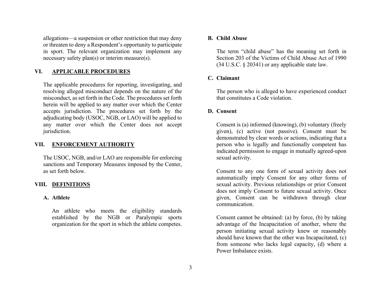<span id="page-8-0"></span>allegations—a suspension or other restriction that may deny or threaten to deny a Respondent's opportunity to participate in sport. The relevant organization may implement any necessary safety plan(s) or interim measure(s).

#### **VI.APPLICABLE PROCEDURES**

The applicable procedures for reporting, investigating, and resolving alleged misconduct depends on the nature of the misconduct, as set forth in the Code. The procedures set forth herein will be applied to any matter over which the Center accepts jurisdiction. The procedures set forth by the adjudicating body (USOC, NGB, or LAO) will be applied to any matter over which the Center does not accept jurisdiction.

#### **VII. ENFORCEMENT AUTHORITY**

The USOC, NGB, and/or LAO are responsible for enforcing sanctions and Temporary Measures imposed by the Center, as set forth below.

#### **VIII. DEFINITIONS**

#### **A. Athlete**

An athlete who meets the eligibility standards established by the NGB or Paralympic sports organization for the sport in which the athlete competes.

#### **B. Child Abuse**

The term "child abuse" has the meaning set forth in Section 203 of the Victims of Child Abuse Act of 1990 (34 U.S.C. § 20341) or any applicable state law.

#### **C. Claimant**

The person who is alleged to have experienced conduct that constitutes a Code violation.

#### **D. Consent**

Consent is (a) informed (knowing), (b) voluntary (freely given), (c) active (not passive). Consent must be demonstrated by clear words or actions, indicating that a person who is legally and functionally competent has indicated permission to engage in mutually agreed-upon sexual activity.

Consent to any one form of sexual activity does not automatically imply Consent for any other forms of sexual activity. Previous relationships or prior Consent does not imply Consent to future sexual activity. Once given, Consent can be withdrawn through clear communication.

Consent cannot be obtained: (a) by force, (b) by taking advantage of the Incapacitation of another, where the person initiating sexual activity knew or reasonably should have known that the other was Incapacitated, (c) from someone who lacks legal capacity, (d) where a Power Imbalance exists.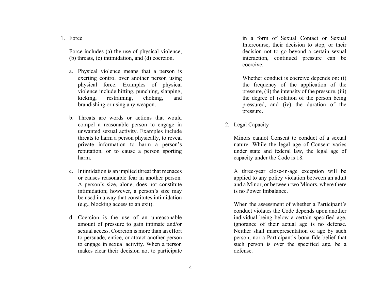<span id="page-9-0"></span>1. Force

Force includes (a) the use of physical violence, (b) threats, (c) intimidation, and (d) coercion.

- a. Physical violence means that a person is exerting control over another person using physical force. Examples of physical violence include hitting, punching, slapping, kicking, restraining, choking, and brandishing or using any weapon.
- b. Threats are words or actions that would compel a reasonable person to engage in unwanted sexual activity. Examples include threats to harm a person physically, to reveal private information to harm a person's reputation, or to cause a person sporting harm.
- c. Intimidation is an implied threat that menaces or causes reasonable fear in another person. A person's size, alone, does not constitute intimidation; however, a person's size may be used in a way that constitutes intimidation (e.g., blocking access to an exit).
- d. Coercion is the use of an unreasonable amount of pressure to gain intimate and/or sexual access. Coercion is more than an effort to persuade, entice, or attract another person to engage in sexual activity. When a person makes clear their decision not to participate

in a form of Sexual Contact or Sexual Intercourse, their decision to stop, or their decision not to go beyond a certain sexual interaction, continued pressure can be coercive.

Whether conduct is coercive depends on: (i) the frequency of the application of the pressure, (ii) the intensity of the pressure, (iii) the degree of isolation of the person being pressured, and (iv) the duration of the pressure.

2. Legal Capacity

Minors cannot Consent to conduct of a sexual nature. While the legal age of Consent varies under state and federal law, the legal age of capacity under the Code is 18.

A three-year close-in-age exception will be applied to any policy violation between an adult and a Minor, or between two Minors, where there is no Power Imbalance.

When the assessment of whether a Participant's conduct violates the Code depends upon another individual being below a certain specified age, ignorance of their actual age is no defense. Neither shall misrepresentation of age by such person, nor a Participant's bona fide belief that such person is over the specified age, be a defense.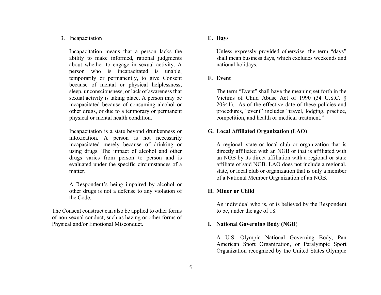## <span id="page-10-0"></span>3. Incapacitation

Incapacitation means that a person lacks the ability to make informed, rational judgments about whether to engage in sexual activity. A person who is incapacitated is unable, temporarily or permanently, to give Consent because of mental or physical helplessness, sleep, unconsciousness, or lack of awareness that sexual activity is taking place. A person may be incapacitated because of consuming alcohol or other drugs, or due to a temporary or permanent physical or mental health condition.

Incapacitation is a state beyond drunkenness or intoxication. A person is not necessarily incapacitated merely because of drinking or using drugs. The impact of alcohol and other drugs varies from person to person and is evaluated under the specific circumstances of a matter.

A Respondent's being impaired by alcohol or other drugs is not a defense to any violation of the Code.

The Consent construct can also be applied to other forms of non-sexual conduct, such as hazing or other forms of Physical and/or Emotional Misconduct.

# **E. Days**

Unless expressly provided otherwise, the term "days" shall mean business days, which excludes weekends and national holidays.

# **F. Event**

The term "Event" shall have the meaning set forth in the Victims of Child Abuse Act of 1990 (34 U.S.C. § 20341). As of the effective date of these policies and procedures, "event" includes "travel, lodging, practice, competition, and health or medical treatment."

# **G. Local Affiliated Organization (LAO**)

A regional, state or local club or organization that is directly affiliated with an NGB or that is affiliated with an NGB by its direct affiliation with a regional or state affiliate of said NGB. LAO does not include a regional, state, or local club or organization that is only a member of a National Member Organization of an NGB.

# **H. Minor or Child**

An individual who is, or is believed by the Respondent to be, under the age of 18.

# **I. National Governing Body (NGB**)

A U.S. Olympic National Governing Body, Pan American Sport Organization, or Paralympic Sport Organization recognized by the United States Olympic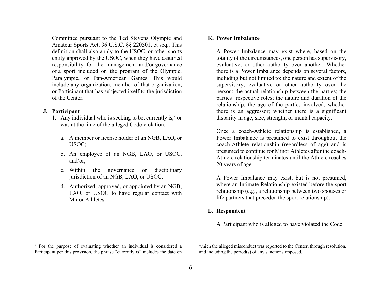<span id="page-11-0"></span>Committee pursuant to the Ted Stevens Olympic and Amateur Sports Act, 36 U.S.C. §§ 220501, et seq.. This definition shall also apply to the USOC, or other sports entity approved by the USOC, when they have assumed responsibility for the management and/or governance of a sport included on the program of the Olympic, Paralympic, or Pan-American Games. This would include any organization, member of that organization, or Participant that has subjected itself to the jurisdiction of the Center.

#### **J. Participant**

- 1. Any individual who is seeking to be, currently is,  $2 \text{ or }$ was at the time of the alleged Code violation:
	- a. A member or license holder of an NGB, LAO, or USOC;
	- b. An employee of an NGB, LAO, or USOC, and/or;
	- c. Within the governance or disciplinary jurisdiction of an NGB, LAO, or USOC.
	- d. Authorized, approved, or appointed by an NGB, LAO, or USOC to have regular contact with Minor Athletes

#### **K. Power Imbalance**

A Power Imbalance may exist where, based on the totality of the circumstances, one person has supervisory, evaluative, or other authority over another. Whether there is a Power Imbalance depends on several factors, including but not limited to: the nature and extent of the supervisory, evaluative or other authority over the person; the actual relationship between the parties; the parties' respective roles; the nature and duration of the relationship; the age of the parties involved; whether there is an aggressor; whether there is a significant disparity in age, size, strength, or mental capacity.

Once a coach-Athlete relationship is established, a Power Imbalance is presumed to exist throughout the coach-Athlete relationship (regardless of age) and is presumed to continue for Minor Athletes after the coach-Athlete relationship terminates until the Athlete reaches 20 years of age.

A Power Imbalance may exist, but is not presumed, where an Intimate Relationship existed before the sport relationship (e.g., a relationship between two spouses or life partners that preceded the sport relationship).

## **L. Respondent**

A Participant who is alleged to have violated the Code.

which the alleged misconduct was reported to the Center, through resolution, and including the period(s) of any sanctions imposed.

<sup>2</sup> For the purpose of evaluating whether an individual is considered a Participant per this provision, the phrase "currently is" includes the date on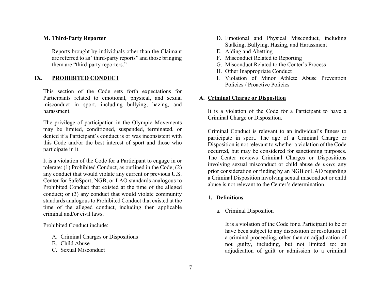# <span id="page-12-0"></span>**M. Third-Party Reporter**

Reports brought by individuals other than the Claimant are referred to as "third-party reports" and those bringing them are "third-party reporters."

#### **IX.PROHIBITED CONDUCT**

This section of the Code sets forth expectations for Participants related to emotional, physical, and sexual misconduct in sport, including bullying, hazing, and harassment.

The privilege of participation in the Olympic Movements may be limited, conditioned, suspended, terminated, or denied if a Participant's conduct is or was inconsistent with this Code and/or the best interest of sport and those who participate in it.

It is a violation of the Code for a Participant to engage in or tolerate: (1) Prohibited Conduct, as outlined in the Code; (2) any conduct that would violate any current or previous U.S. Center for SafeSport, NGB, or LAO standards analogous to Prohibited Conduct that existed at the time of the alleged conduct; or (3) any conduct that would violate community standards analogous to Prohibited Conduct that existed at the time of the alleged conduct, including then applicable criminal and/or civil laws.

Prohibited Conduct include:

- A. Criminal Charges or Dispositions
- B. Child Abuse
- C. Sexual Misconduct
- D. Emotional and Physical Misconduct, including Stalking, Bullying, Hazing, and Harassment
- E. Aiding and Abetting
- F. Misconduct Related to Reporting
- G. Misconduct Related to the Center's Process
- H. Other Inappropriate Conduct
- I. Violation of Minor Athlete Abuse Prevention Policies / Proactive Policies

# **A. Criminal Charge or Disposition**

It is a violation of the Code for a Participant to have a Criminal Charge or Disposition.

Criminal Conduct is relevant to an individual's fitness to participate in sport. The age of a Criminal Charge or Disposition is not relevant to whether a violation of the Code occurred, but may be considered for sanctioning purposes. The Center reviews Criminal Charges or Dispositions involving sexual misconduct or child abuse *de novo*; any prior consideration or finding by an NGB or LAO regarding a Criminal Disposition involving sexual misconduct or child abuse is not relevant to the Center's determination.

# **1. Definitions**

a. Criminal Disposition

It is a violation of the Code for a Participant to be or have been subject to any disposition or resolution of a criminal proceeding, other than an adjudication of not guilty, including, but not limited to: an adjudication of guilt or admission to a criminal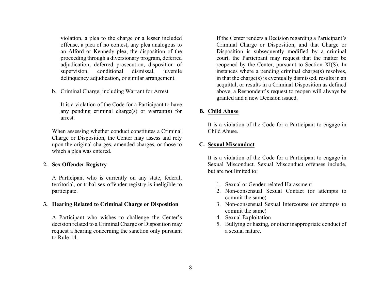<span id="page-13-0"></span>violation, a plea to the charge or a lesser included offense, a plea of no contest, any plea analogous to an Alford or Kennedy plea, the disposition of the proceeding through a diversionary program, deferred adjudication, deferred prosecution, disposition of supervision, conditional dismissal, juvenile delinquency adjudication, or similar arrangement.

b. Criminal Charge, including Warrant for Arrest

It is a violation of the Code for a Participant to have any pending criminal charge(s) or warrant(s) for arrest.

When assessing whether conduct constitutes a Criminal Charge or Disposition, the Center may assess and rely upon the original charges, amended charges, or those to which a plea was entered.

#### **2. Sex Offender Registry**

A Participant who is currently on any state, federal, territorial, or tribal sex offender registry is ineligible to participate.

#### **3. Hearing Related to Criminal Charge or Disposition**

A Participant who wishes to challenge the Center's decision related to a Criminal Charge or Disposition may request a hearing concerning the sanction only pursuant to Rule-14.

If the Center renders a Decision regarding a Participant's Criminal Charge or Disposition, and that Charge or Disposition is subsequently modified by a criminal court, the Participant may request that the matter be reopened by the Center, pursuant to Section XI(S). In instances where a pending criminal charge(s) resolves, in that the charge(s) is eventually dismissed, results in an acquittal, or results in a Criminal Disposition as defined above, a Respondent's request to reopen will always be granted and a new Decision issued.

#### **B. Child Abuse**

It is a violation of the Code for a Participant to engage in Child Abuse.

#### **C. Sexual Misconduct**

It is a violation of the Code for a Participant to engage in Sexual Misconduct. Sexual Misconduct offenses include, but are not limited to:

- 1. Sexual or Gender-related Harassment
- 2. Non-consensual Sexual Contact (or attempts to commit the same)
- 3. Non-consensual Sexual Intercourse (or attempts to commit the same)
- 4. Sexual Exploitation
- 5. Bullying or hazing, or other inappropriate conduct of a sexual nature.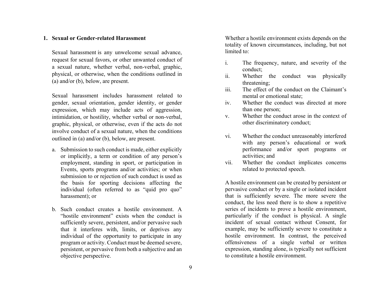#### <span id="page-14-0"></span>**1. Sexual or Gender-related Harassment**

Sexual harassment is any unwelcome sexual advance, request for sexual favors, or other unwanted conduct of a sexual nature, whether verbal, non-verbal, graphic, physical, or otherwise, when the conditions outlined in (a) and/or (b), below, are present.

Sexual harassment includes harassment related to gender, sexual orientation, gender identity, or gender expression, which may include acts of aggression, intimidation, or hostility, whether verbal or non-verbal, graphic, physical, or otherwise, even if the acts do not involve conduct of a sexual nature, when the conditions outlined in (a) and/or (b), below, are present.

- a. Submission to such conduct is made, either explicitly or implicitly, a term or condition of any person's employment, standing in sport, or participation in Events, sports programs and/or activities; or when submission to or rejection of such conduct is used as the basis for sporting decisions affecting the individual (often referred to as "quid pro quo" harassment); or
- b. Such conduct creates a hostile environment. A "hostile environment" exists when the conduct is sufficiently severe, persistent, and/or pervasive such that it interferes with, limits, or deprives any individual of the opportunity to participate in any program or activity. Conduct must be deemed severe, persistent, or pervasive from both a subjective and an objective perspective.

Whether a hostile environment exists depends on the totality of known circumstances, including, but not limited to:

- i. The frequency, nature, and severity of the conduct;
- ii. Whether the conduct was physically threatening;
- iii. The effect of the conduct on the Claimant's mental or emotional state;
- iv. Whether the conduct was directed at more than one person;
- v. Whether the conduct arose in the context of other discriminatory conduct;
- vi. Whether the conduct unreasonably interfered with any person's educational or work performance and/or sport programs or activities; and
- vii. Whether the conduct implicates concerns related to protected speech.

A hostile environment can be created by persistent or pervasive conduct or by a single or isolated incident that is sufficiently severe. The more severe the conduct, the less need there is to show a repetitive series of incidents to prove a hostile environment, particularly if the conduct is physical. A single incident of sexual contact without Consent, for example, may be sufficiently severe to constitute a hostile environment. In contrast, the perceived offensiveness of a single verbal or written expression, standing alone, is typically not sufficient to constitute a hostile environment.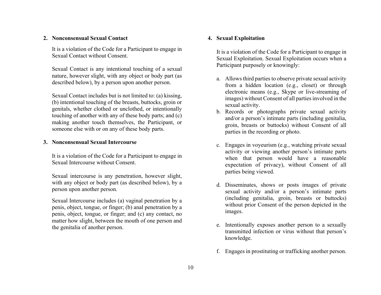## <span id="page-15-0"></span>**2. Nonconsensual Sexual Contact**

It is a violation of the Code for a Participant to engage in Sexual Contact without Consent.

Sexual Contact is any intentional touching of a sexual nature, however slight, with any object or body part (as described below), by a person upon another person.

Sexual Contact includes but is not limited to: (a) kissing, (b) intentional touching of the breasts, buttocks, groin or genitals, whether clothed or unclothed, or intentionally touching of another with any of these body parts; and (c) making another touch themselves, the Participant, or someone else with or on any of these body parts.

#### **3. Nonconsensual Sexual Intercourse**

It is a violation of the Code for a Participant to engage in Sexual Intercourse without Consent.

Sexual intercourse is any penetration, however slight, with any object or body part (as described below), by a person upon another person.

Sexual Intercourse includes (a) vaginal penetration by a penis, object, tongue, or finger; (b) anal penetration by a penis, object, tongue, or finger; and (c) any contact, no matter how slight, between the mouth of one person and the genitalia of another person.

#### **4. Sexual Exploitation**

It is a violation of the Code for a Participant to engage in Sexual Exploitation. Sexual Exploitation occurs when a Participant purposely or knowingly:

- a. Allows third parties to observe private sexual activity from a hidden location (e.g., closet) or through electronic means (e.g., Skype or live-streaming of images) without Consent of all parties involved in the sexual activity.
- b. Records or photographs private sexual activity and/or a person's intimate parts (including genitalia, groin, breasts or buttocks) without Consent of all parties in the recording or photo.
- c. Engages in voyeurism (e.g., watching private sexual activity or viewing another person's intimate parts when that person would have a reasonable expectation of privacy), without Consent of all parties being viewed.
- d. Disseminates, shows or posts images of private sexual activity and/or a person's intimate parts (including genitalia, groin, breasts or buttocks) without prior Consent of the person depicted in the images.
- e. Intentionally exposes another person to a sexually transmitted infection or virus without that person's knowledge.
- f. Engages in prostituting or trafficking another person.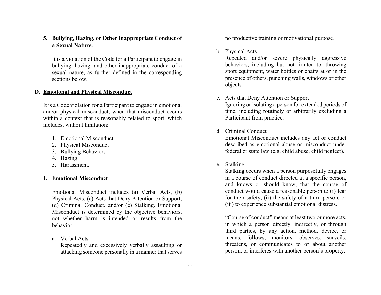# <span id="page-16-0"></span>**5. Bullying, Hazing, or Other Inappropriate Conduct of a Sexual Nature.**

It is a violation of the Code for a Participant to engage in bullying, hazing, and other inappropriate conduct of a sexual nature, as further defined in the corresponding sections below.

# **D. Emotional and Physical Misconduct**

It is a Code violation for a Participant to engage in emotional and/or physical misconduct, when that misconduct occurs within a context that is reasonably related to sport, which includes, without limitation:

- 1. Emotional Misconduct
- 2. Physical Misconduct
- 3. Bullying Behaviors
- 4. Hazing
- 5. Harassment.

#### **1. Emotional Misconduct**

Emotional Misconduct includes (a) Verbal Acts, (b) Physical Acts, (c) Acts that Deny Attention or Support, (d) Criminal Conduct, and/or (e) Stalking. Emotional Misconduct is determined by the objective behaviors, not whether harm is intended or results from the behavior.

a. Verbal Acts

Repeatedly and excessively verbally assaulting or attacking someone personally in a manner that serves no productive training or motivational purpose.

#### b. Physical Acts

Repeated and/or severe physically aggressive behaviors, including but not limited to, throwing sport equipment, water bottles or chairs at or in the presence of others, punching walls, windows or other objects.

c. Acts that Deny Attention or Support Ignoring or isolating a person for extended periods of time, including routinely or arbitrarily excluding a Participant from practice.

#### d. Criminal Conduct

Emotional Misconduct includes any act or conduct described as emotional abuse or misconduct under federal or state law (e.g. child abuse, child neglect).

e. Stalking

Stalking occurs when a person purposefully engages in a course of conduct directed at a specific person, and knows or should know, that the course of conduct would cause a reasonable person to (i) fear for their safety, (ii) the safety of a third person, or (iii) to experience substantial emotional distress.

"Course of conduct" means at least two or more acts, in which a person directly, indirectly, or through third parties, by any action, method, device, or means, follows, monitors, observes, surveils, threatens, or communicates to or about another person, or interferes with another person's property.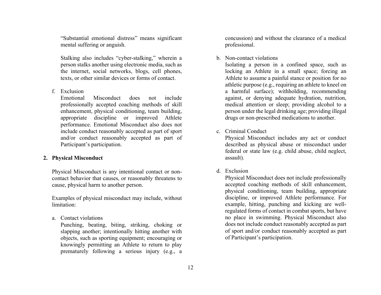<span id="page-17-0"></span>"Substantial emotional distress" means significant mental suffering or anguish.

Stalking also includes "cyber-stalking," wherein a person stalks another using electronic media, such as the internet, social networks, blogs, cell phones, texts, or other similar devices or forms of contact.

f. Exclusion

Emotional Misconduct does not include professionally accepted coaching methods of skill enhancement, physical conditioning, team building, appropriate discipline or improved Athlete performance. Emotional Misconduct also does not include conduct reasonably accepted as part of sport and/or conduct reasonably accepted as part of Participant's participation.

#### **2. Physical Misconduct**

Physical Misconduct is any intentional contact or noncontact behavior that causes, or reasonably threatens to cause, physical harm to another person.

Examples of physical misconduct may include, without limitation:

a. Contact violations

Punching, beating, biting, striking, choking or slapping another; intentionally hitting another with objects, such as sporting equipment; encouraging or knowingly permitting an Athlete to return to play prematurely following a serious injury (e.g., a concussion) and without the clearance of a medical professional.

#### b. Non-contact violations

Isolating a person in a confined space, such as locking an Athlete in a small space; forcing an Athlete to assume a painful stance or position for no athletic purpose (e.g., requiring an athlete to kneel on a harmful surface); withholding, recommending against, or denying adequate hydration, nutrition, medical attention or sleep; providing alcohol to a person under the legal drinking age; providing illegal drugs or non-prescribed medications to another.

#### c. Criminal Conduct

Physical Misconduct includes any act or conduct described as physical abuse or misconduct under federal or state law (e.g. child abuse, child neglect, assault).

d. Exclusion

Physical Misconduct does not include professionally accepted coaching methods of skill enhancement, physical conditioning, team building, appropriate discipline, or improved Athlete performance. For example, hitting, punching and kicking are wellregulated forms of contact in combat sports, but have no place in swimming. Physical Misconduct also does not include conduct reasonably accepted as part of sport and/or conduct reasonably accepted as part of Participant's participation.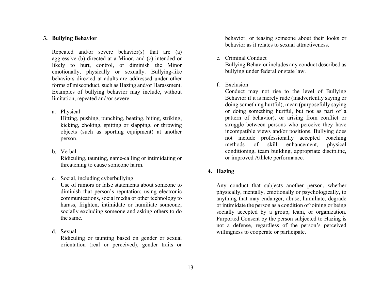# <span id="page-18-0"></span>**3. Bullying Behavior**

Repeated and/or severe behavior(s) that are (a) aggressive (b) directed at a Minor, and (c) intended or likely to hurt, control, or diminish the Minor emotionally, physically or sexually. Bullying-like behaviors directed at adults are addressed under other forms of misconduct, such as Hazing and/or Harassment. Examples of bullying behavior may include, without limitation, repeated and/or severe:

#### a. Physical

Hitting, pushing, punching, beating, biting, striking, kicking, choking, spitting or slapping, or throwing objects (such as sporting equipment) at another person.

## b. Verbal

Ridiculing, taunting, name-calling or intimidating or threatening to cause someone harm.

## c. Social, including cyberbullying

Use of rumors or false statements about someone to diminish that person's reputation; using electronic communications, social media or other technology to harass, frighten, intimidate or humiliate someone; socially excluding someone and asking others to do the same.

d. Sexual

Ridiculing or taunting based on gender or sexual orientation (real or perceived), gender traits or behavior, or teasing someone about their looks or behavior as it relates to sexual attractiveness.

## e. Criminal Conduct

Bullying Behavior includes any conduct described as bullying under federal or state law.

## f. Exclusion

Conduct may not rise to the level of Bullying Behavior if it is merely rude (inadvertently saying or doing something hurtful), mean (purposefully saying or doing something hurtful, but not as part of a pattern of behavior), or arising from conflict or struggle between persons who perceive they have incompatible views and/or positions. Bullying does not include professionally accepted coaching methods of skill enhancement, physical conditioning, team building, appropriate discipline, or improved Athlete performance.

## **4. Hazing**

Any conduct that subjects another person, whether physically, mentally, emotionally or psychologically, to anything that may endanger, abuse, humiliate, degrade or intimidate the person as a condition of joining or being socially accepted by a group, team, or organization. Purported Consent by the person subjected to Hazing is not a defense, regardless of the person's perceived willingness to cooperate or participate.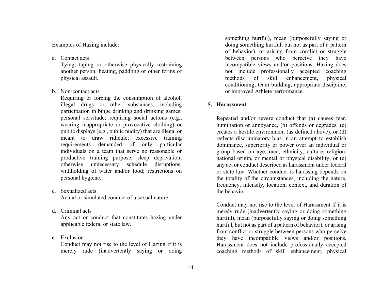<span id="page-19-0"></span>Examples of Hazing include:

a. Contact acts

Tying, taping or otherwise physically restraining another person; beating, paddling or other forms of physical assault.

b. Non-contact acts

Requiring or forcing the consumption of alcohol, illegal drugs or other substances, including participation in binge drinking and drinking games; personal servitude; requiring social actions (e.g., wearing inappropriate or provocative clothing) or public displays (e.g., public nudity) that are illegal or meant to draw ridicule; excessive training requirements demanded of only particular individuals on a team that serve no reasonable or productive training purpose; sleep deprivation; otherwise unnecessary schedule disruptions; withholding of water and/or food; restrictions on personal hygiene.

- c. Sexualized acts Actual or simulated conduct of a sexual nature.
- d. Criminal acts

Any act or conduct that constitutes hazing under applicable federal or state law.

e. Exclusion

Conduct may not rise to the level of Hazing if it is merely rude (inadvertently saying or doing something hurtful), mean (purposefully saying or doing something hurtful, but not as part of a pattern of behavior), or arising from conflict or struggle between persons who perceive they have incompatible views and/or positions. Hazing does not include professionally accepted coaching methods of skill enhancement, physical conditioning, team building, appropriate discipline, or improved Athlete performance.

# **5. Harassment**

Repeated and/or severe conduct that (a) causes fear, humiliation or annoyance, (b) offends or degrades, (c) creates a hostile environment (as defined above), or (d) reflects discriminatory bias in an attempt to establish dominance, superiority or power over an individual or group based on age, race, ethnicity, culture, religion, national origin, or mental or physical disability; or (e) any act or conduct described as harassment under federal or state law. Whether conduct is harassing depends on the totality of the circumstances, including the nature, frequency, intensity, location, context, and duration of the behavior.

Conduct may not rise to the level of Harassment if it is merely rude (inadvertently saying or doing something hurtful), mean (purposefully saying or doing something hurtful, but not as part of a pattern of behavior), or arising from conflict or struggle between persons who perceive they have incompatible views and/or positions. Harassment does not include professionally accepted coaching methods of skill enhancement, physical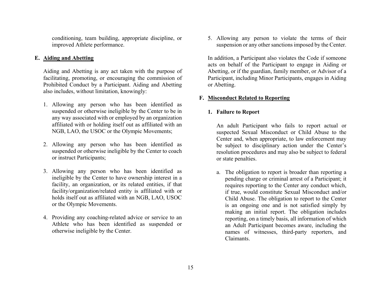<span id="page-20-0"></span>conditioning, team building, appropriate discipline, or improved Athlete performance.

# **E. Aiding and Abetting**

Aiding and Abetting is any act taken with the purpose of facilitating, promoting, or encouraging the commission of Prohibited Conduct by a Participant. Aiding and Abetting also includes, without limitation, knowingly:

- 1. Allowing any person who has been identified as suspended or otherwise ineligible by the Center to be in any way associated with or employed by an organization affiliated with or holding itself out as affiliated with an NGB, LAO, the USOC or the Olympic Movements;
- 2. Allowing any person who has been identified as suspended or otherwise ineligible by the Center to coach or instruct Participants;
- 3. Allowing any person who has been identified as ineligible by the Center to have ownership interest in a facility, an organization, or its related entities, if that facility/organization/related entity is affiliated with or holds itself out as affiliated with an NGB, LAO, USOC or the Olympic Movements.
- 4. Providing any coaching-related advice or service to an Athlete who has been identified as suspended or otherwise ineligible by the Center.

5. Allowing any person to violate the terms of their suspension or any other sanctions imposed by the Center.

In addition, a Participant also violates the Code if someone acts on behalf of the Participant to engage in Aiding or Abetting, or if the guardian, family member, or Advisor of a Participant, including Minor Participants, engages in Aiding or Abetting.

# **F. Misconduct Related to Reporting**

# **1. Failure to Report**

An adult Participant who fails to report actual or suspected Sexual Misconduct or Child Abuse to the Center and, when appropriate, to law enforcement may be subject to disciplinary action under the Center's resolution procedures and may also be subject to federal or state penalties.

a. The obligation to report is broader than reporting a pending charge or criminal arrest of a Participant; it requires reporting to the Center any conduct which, if true, would constitute Sexual Misconduct and/or Child Abuse. The obligation to report to the Center is an ongoing one and is not satisfied simply by making an initial report. The obligation includes reporting, on a timely basis, all information of which an Adult Participant becomes aware, including the names of witnesses, third-party reporters, and Claimants.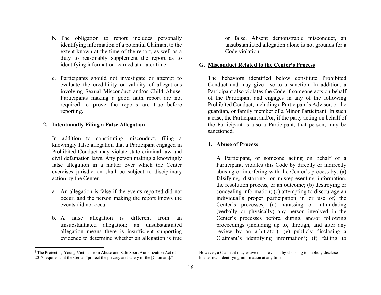- <span id="page-21-0"></span>b. The obligation to report includes personally identifying information of a potential Claimant to the extent known at the time of the report, as well as a duty to reasonably supplement the report as to identifying information learned at a later time.
- c. Participants should not investigate or attempt to evaluate the credibility or validity of allegations involving Sexual Misconduct and/or Child Abuse. Participants making a good faith report are not required to prove the reports are true before reporting.

# **2. Intentionally Filing a False Allegation**

In addition to constituting misconduct, filing a knowingly false allegation that a Participant engaged in Prohibited Conduct may violate state criminal law and civil defamation laws. Any person making a knowingly false allegation in a matter over which the Center exercises jurisdiction shall be subject to disciplinary action by the Center.

- a. An allegation is false if the events reported did not occur, and the person making the report knows the events did not occur.
- b. A false allegation is different from an unsubstantiated allegation; an unsubstantiated allegation means there is insufficient supporting evidence to determine whether an allegation is true

or false. Absent demonstrable misconduct, an unsubstantiated allegation alone is not grounds for a Code violation.

#### **G. Misconduct Related to the Center's Process**

The behaviors identified below constitute Prohibited Conduct and may give rise to a sanction. In addition, a Participant also violates the Code if someone acts on behalf of the Participant and engages in any of the following Prohibited Conduct, including a Participant's Advisor, or the guardian, or family member of a Minor Participant. In such a case, the Participant and/or, if the party acting on behalf of the Participant is also a Participant, that person, may be sanctioned.

#### **1. Abuse of Process**

A Participant, or someone acting on behalf of a Participant, violates this Code by directly or indirectly abusing or interfering with the Center's process by: (a) falsifying, distorting, or misrepresenting information, the resolution process, or an outcome; (b) destroying or concealing information; (c) attempting to discourage an individual's proper participation in or use of, the Center's processes; (d) harassing or intimidating (verbally or physically) any person involved in the Center's processes before, during, and/or following proceedings (including up to, through, and after any review by an arbitrator); (e) publicly disclosing a Claimant's identifying information<sup>3</sup>; (f) failing to

<sup>&</sup>lt;sup>3</sup> The Protecting Young Victims from Abuse and Safe Sport Authorization Act of 2017 requires that the Center "protect the privacy and safety of the [Claimant]."

However, a Claimant may waive this provision by choosing to publicly disclose his/her own identifying information at any time.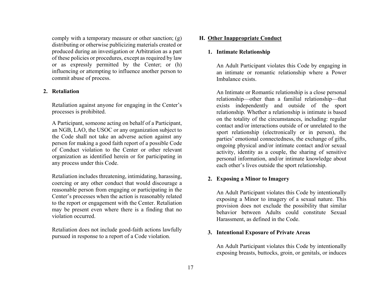<span id="page-22-0"></span>comply with a temporary measure or other sanction; (g) distributing or otherwise publicizing materials created or produced during an investigation or Arbitration as a part of these policies or procedures, except as required by law or as expressly permitted by the Center; or (h) influencing or attempting to influence another person to commit abuse of process.

# **2. Retaliation**

Retaliation against anyone for engaging in the Center's processes is prohibited.

A Participant, someone acting on behalf of a Participant, an NGB, LAO, the USOC or any organization subject to the Code shall not take an adverse action against any person for making a good faith report of a possible Code of Conduct violation to the Center or other relevant organization as identified herein or for participating in any process under this Code.

Retaliation includes threatening, intimidating, harassing, coercing or any other conduct that would discourage a reasonable person from engaging or participating in the Center's processes when the action is reasonably related to the report or engagement with the Center. Retaliation may be present even where there is a finding that no violation occurred.

Retaliation does not include good-faith actions lawfully pursued in response to a report of a Code violation.

# **H. Other Inappropriate Conduct**

# **1. Intimate Relationship**

An Adult Participant violates this Code by engaging in an intimate or romantic relationship where a Power Imbalance exists.

An Intimate or Romantic relationship is a close personal relationship—other than a familial relationship—that exists independently and outside of the sport relationship. Whether a relationship is intimate is based on the totality of the circumstances, including: regular contact and/or interactions outside of or unrelated to the sport relationship (electronically or in person), the parties' emotional connectedness, the exchange of gifts, ongoing physical and/or intimate contact and/or sexual activity, identity as a couple, the sharing of sensitive personal information, and/or intimate knowledge about each other's lives outside the sport relationship.

# **2. Exposing a Minor to Imagery**

An Adult Participant violates this Code by intentionally exposing a Minor to imagery of a sexual nature. This provision does not exclude the possibility that similar behavior between Adults could constitute Sexual Harassment, as defined in the Code.

# **3. Intentional Exposure of Private Areas**

An Adult Participant violates this Code by intentionally exposing breasts, buttocks, groin, or genitals, or induces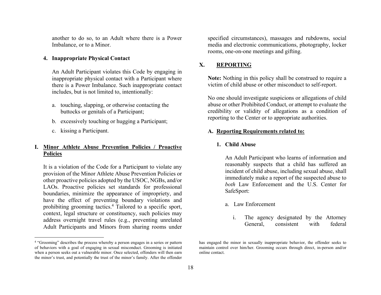<span id="page-23-0"></span>another to do so, to an Adult where there is a Power Imbalance, or to a Minor.

#### **4. Inappropriate Physical Contact**

An Adult Participant violates this Code by engaging in inappropriate physical contact with a Participant where there is a Power Imbalance. Such inappropriate contact includes, but is not limited to, intentionally:

- a. touching, slapping, or otherwise contacting the buttocks or genitals of a Participant;
- b. excessively touching or hugging a Participant;
- c. kissing a Participant.

# **I. Minor Athlete Abuse Prevention Policies / Proactive Policies**

It is a violation of the Code for a Participant to violate any provision of the Minor Athlete Abuse Prevention Policies or other proactive policies adopted by the USOC, NGBs, and/or LAOs. Proactive policies set standards for professional boundaries, minimize the appearance of impropriety, and have the effect of preventing boundary violations and prohibiting grooming tactics.4 Tailored to a specific sport, context, legal structure or constituency, such policies may address overnight travel rules (e.g., preventing unrelated Adult Participants and Minors from sharing rooms under

specified circumstances), massages and rubdowns, social media and electronic communications, photography, locker rooms, one-on-one meetings and gifting.

#### **X.REPORTING**

**Note:** Nothing in this policy shall be construed to require a victim of child abuse or other misconduct to self-report.

No one should investigate suspicions or allegations of child abuse or other Prohibited Conduct, or attempt to evaluate the credibility or validity of allegations as a condition of reporting to the Center or to appropriate authorities.

#### **A. Reporting Requirements related to:**

#### **1. Child Abuse**

An Adult Participant who learns of information and reasonably suspects that a child has suffered an incident of child abuse, including sexual abuse, shall immediately make a report of the suspected abuse to *both* Law Enforcement and the U.S. Center for SafeSport:

#### a. Law Enforcement

i. The agency designated by the Attorney General, consistent with federal

<sup>&</sup>lt;sup>4</sup> "Grooming" describes the process whereby a person engages in a series or pattern of behaviors with a goal of engaging in sexual misconduct. Grooming is initiated when a person seeks out a vulnerable minor. Once selected, offenders will then earn the minor's trust, and potentially the trust of the minor's family. After the offender

has engaged the minor in sexually inappropriate behavior, the offender seeks to maintain control over him/her. Grooming occurs through direct, in-person and/or online contact.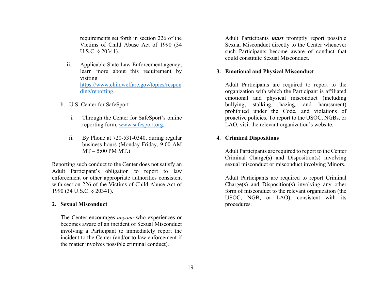<span id="page-24-0"></span>requirements set forth in section 226 of the Victims of Child Abuse Act of 1990 (34 U.S.C. § 20341).

- ii. Applicable State Law Enforcement agency; learn more about this requirement by visiting https://www.childwelfare.gov/topics/respon ding/reporting.
- b. U.S. Center for SafeSport
	- i. Through the Center for SafeSport's online reporting form, www.safesport.org.
	- ii. By Phone at 720-531-0340, during regular business hours (Monday-Friday, 9:00 AM  $MT - 5:00$  PM MT.)

Reporting such conduct to the Center does not satisfy an Adult Participant's obligation to report to law enforcement or other appropriate authorities consistent with section 226 of the Victims of Child Abuse Act of 1990 (34 U.S.C. § 20341).

#### **2. Sexual Misconduct**

The Center encourages *anyone* who experiences or becomes aware of an incident of Sexual Misconduct involving a Participant to immediately report the incident to the Center (and/or to law enforcement if the matter involves possible criminal conduct).

Adult Participants *must* promptly report possible Sexual Misconduct directly to the Center whenever such Participants become aware of conduct that could constitute Sexual Misconduct.

#### **3. Emotional and Physical Misconduct**

Adult Participants are required to report to the organization with which the Participant is affiliated emotional and physical misconduct (including bullying, stalking, hazing, and harassment) prohibited under the Code, and violations of proactive policies. To report to the USOC, NGBs, or LAO, visit the relevant organization's website.

#### **4. Criminal Dispositions**

Adult Participants are required to report to the Center Criminal Charge(s) and Disposition(s) involving sexual misconduct or misconduct involving Minors.

Adult Participants are required to report Criminal Charge(s) and Disposition(s) involving any other form of misconduct to the relevant organization (the USOC, NGB, or LAO), consistent with its procedures.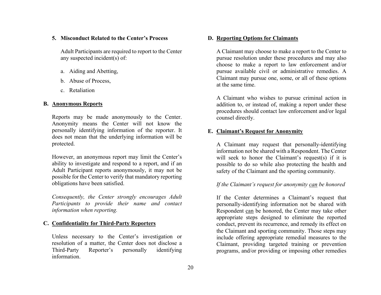#### <span id="page-25-0"></span>**5. Misconduct Related to the Center's Process**

Adult Participants are required to report to the Center any suspected incident(s) of:

- a. Aiding and Abetting,
- b. Abuse of Process,
- c. Retaliation

# **B. Anonymous Reports**

Reports may be made anonymously to the Center. Anonymity means the Center will not know the personally identifying information of the reporter. It does not mean that the underlying information will be protected.

However, an anonymous report may limit the Center's ability to investigate and respond to a report, and if an Adult Participant reports anonymously, it may not be possible for the Center to verify that mandatory reporting obligations have been satisfied.

*Consequently, the Center strongly encourages Adult Participants to provide their name and contact information when reporting.* 

## **C. Confidentiality for Third-Party Reporters**

Unless necessary to the Center's investigation or resolution of a matter, the Center does not disclose a Third-Party Reporter's personally identifying information.

#### **D. Reporting Options for Claimants**

A Claimant may choose to make a report to the Center to pursue resolution under these procedures and may also choose to make a report to law enforcement and/or pursue available civil or administrative remedies. A Claimant may pursue one, some, or all of these options at the same time.

A Claimant who wishes to pursue criminal action in addition to, or instead of, making a report under these procedures should contact law enforcement and/or legal counsel directly.

#### **E. Claimant's Request for Anonymity**

A Claimant may request that personally-identifying information not be shared with a Respondent. The Center will seek to honor the Claimant's request(s) if it is possible to do so while also protecting the health and safety of the Claimant and the sporting community.

# *If the Claimant's request for anonymity can be honored*

If the Center determines a Claimant's request that personally-identifying information not be shared with Respondent can be honored, the Center may take other appropriate steps designed to eliminate the reported conduct, prevent its recurrence, and remedy its effect on the Claimant and sporting community. Those steps may include offering appropriate remedial measures to the Claimant, providing targeted training or prevention programs, and/or providing or imposing other remedies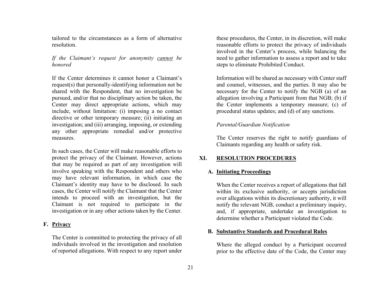<span id="page-26-0"></span>tailored to the circumstances as a form of alternative resolution.

# *If the Claimant's request for anonymity cannot be honored*

If the Center determines it cannot honor a Claimant's request(s) that personally-identifying information not be shared with the Respondent, that no investigation be pursued, and/or that no disciplinary action be taken, the Center may direct appropriate actions, which may include, without limitation: (i) imposing a no contact directive or other temporary measure; (ii) initiating an investigation; and (iii) arranging, imposing, or extending any other appropriate remedial and/or protective measures.

In such cases, the Center will make reasonable efforts to protect the privacy of the Claimant. However, actions that may be required as part of any investigation will involve speaking with the Respondent and others who may have relevant information, in which case the Claimant's identity may have to be disclosed. In such cases, the Center will notify the Claimant that the Center intends to proceed with an investigation, but the Claimant is not required to participate in the investigation or in any other actions taken by the Center.

## **F. Privacy**

The Center is committed to protecting the privacy of all individuals involved in the investigation and resolution of reported allegations. With respect to any report under these procedures, the Center, in its discretion, will make reasonable efforts to protect the privacy of individuals involved in the Center's process, while balancing the need to gather information to assess a report and to take steps to eliminate Prohibited Conduct.

Information will be shared as necessary with Center staff and counsel, witnesses, and the parties. It may also be necessary for the Center to notify the NGB (a) of an allegation involving a Participant from that NGB; (b) if the Center implements a temporary measure; (c) of procedural status updates; and (d) of any sanctions.

# *Parental/Guardian Notification*

The Center reserves the right to notify guardians of Claimants regarding any health or safety risk.

#### **XI.RESOLUTION PROCEDURES**

#### **A. Initiating Proceedings**

When the Center receives a report of allegations that fall within its exclusive authority, or accepts jurisdiction over allegations within its discretionary authority, it will notify the relevant NGB, conduct a preliminary inquiry, and, if appropriate, undertake an investigation to determine whether a Participant violated the Code.

#### **B. Substantive Standards and Procedural Rules**

Where the alleged conduct by a Participant occurred prior to the effective date of the Code, the Center may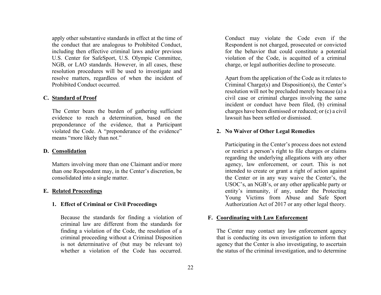<span id="page-27-0"></span>apply other substantive standards in effect at the time of the conduct that are analogous to Prohibited Conduct, including then effective criminal laws and/or previous U.S. Center for SafeSport, U.S. Olympic Committee, NGB, or LAO standards. However, in all cases, these resolution procedures will be used to investigate and resolve matters, regardless of when the incident of Prohibited Conduct occurred.

#### **C. Standard of Proof**

The Center bears the burden of gathering sufficient evidence to reach a determination, based on the preponderance of the evidence, that a Participant violated the Code. A "preponderance of the evidence" means "more likely than not."

#### **D. Consolidation**

Matters involving more than one Claimant and/or more than one Respondent may, in the Center's discretion, be consolidated into a single matter.

#### **E. Related Proceedings**

#### **1. Effect of Criminal or Civil Proceedings**

Because the standards for finding a violation of criminal law are different from the standards for finding a violation of the Code, the resolution of a criminal proceeding without a Criminal Disposition is not determinative of (but may be relevant to) whether a violation of the Code has occurred

Conduct may violate the Code even if the Respondent is not charged, prosecuted or convicted for the behavior that could constitute a potential violation of the Code, is acquitted of a criminal charge, or legal authorities decline to prosecute.

Apart from the application of the Code as it relates to Criminal Charge(s) and Disposition(s), the Center's resolution will not be precluded merely because (a) a civil case or criminal charges involving the same incident or conduct have been filed, (b) criminal charges have been dismissed or reduced; or (c) a civil lawsuit has been settled or dismissed.

#### **2. No Waiver of Other Legal Remedies**

Participating in the Center's process does not extend or restrict a person's right to file charges or claims regarding the underlying allegations with any other agency, law enforcement, or court. This is not intended to create or grant a right of action against the Center or in any way waive the Center's, the USOC's, an NGB's, or any other applicable party or entity's immunity, if any, under the Protecting Young Victims from Abuse and Safe Sport Authorization Act of 2017 or any other legal theory.

#### **F. Coordinating with Law Enforcement**

The Center may contact any law enforcement agency that is conducting its own investigation to inform that agency that the Center is also investigating, to ascertain the status of the criminal investigation, and to determine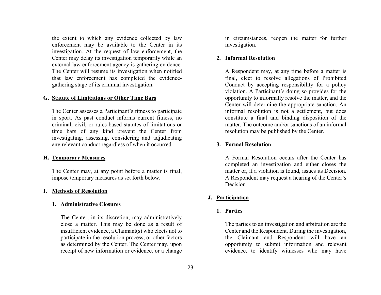<span id="page-28-0"></span>the extent to which any evidence collected by law enforcement may be available to the Center in its investigation. At the request of law enforcement, the Center may delay its investigation temporarily while an external law enforcement agency is gathering evidence. The Center will resume its investigation when notified that law enforcement has completed the evidencegathering stage of its criminal investigation.

#### **G. Statute of Limitations or Other Time Bars**

The Center assesses a Participant's fitness to participate in sport. As past conduct informs current fitness, no criminal, civil, or rules-based statutes of limitations or time bars of any kind prevent the Center from investigating, assessing, considering and adjudicating any relevant conduct regardless of when it occurred.

#### **H. Temporary Measures**

The Center may, at any point before a matter is final, impose temporary measures as set forth below.

#### **I. Methods of Resolution**

# **1. Administrative Closures**

The Center, in its discretion, may administratively close a matter. This may be done as a result of insufficient evidence, a Claimant(s) who elects not to participate in the resolution process, or other factors as determined by the Center. The Center may, upon receipt of new information or evidence, or a change in circumstances, reopen the matter for further investigation.

#### **2. Informal Resolution**

A Respondent may, at any time before a matter is final, elect to resolve allegations of Prohibited Conduct by accepting responsibility for a policy violation. A Participant's doing so provides for the opportunity to informally resolve the matter, and the Center will determine the appropriate sanction. An informal resolution is not a settlement, but does constitute a final and binding disposition of the matter. The outcome and/or sanctions of an informal resolution may be published by the Center.

# **3. Formal Resolution**

A Formal Resolution occurs after the Center has completed an investigation and either closes the matter or, if a violation is found, issues its Decision. A Respondent may request a hearing of the Center's Decision.

#### **J. Participation**

#### **1. Parties**

The parties to an investigation and arbitration are the Center and the Respondent. During the investigation, the Claimant and Respondent will have an opportunity to submit information and relevant evidence, to identify witnesses who may have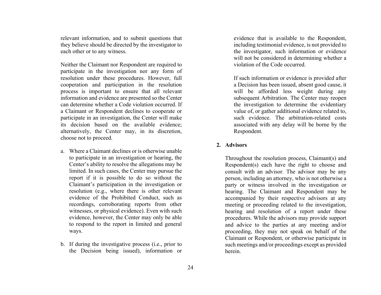<span id="page-29-0"></span>relevant information, and to submit questions that they believe should be directed by the investigator to each other or to any witness.

Neither the Claimant nor Respondent are required to participate in the investigation nor any form of resolution under these procedures. However, full cooperation and participation in the resolution process is important to ensure that all relevant information and evidence are presented so the Center can determine whether a Code violation occurred. If a Claimant or Respondent declines to cooperate or participate in an investigation, the Center will make its decision based on the available evidence; alternatively, the Center may, in its discretion, choose not to proceed.

- a. Where a Claimant declines or is otherwise unable to participate in an investigation or hearing, the Center's ability to resolve the allegations may be limited. In such cases, the Center may pursue the report if it is possible to do so without the Claimant's participation in the investigation or resolution (e.g., where there is other relevant evidence of the Prohibited Conduct, such as recordings, corroborating reports from other witnesses, or physical evidence). Even with such evidence, however, the Center may only be able to respond to the report in limited and general ways.
- b. If during the investigative process (i.e., prior to the Decision being issued), information or

evidence that is available to the Respondent, including testimonial evidence, is not provided to the investigator, such information or evidence will not be considered in determining whether a violation of the Code occurred.

If such information or evidence is provided after a Decision has been issued, absent good cause, it will be afforded less weight during any subsequent Arbitration. The Center may reopen the investigation to determine the evidentiary value of, or gather additional evidence related to, such evidence. The arbitration-related costs associated with any delay will be borne by the Respondent.

## **2. Advisors**

Throughout the resolution process, Claimant(s) and Respondent(s) each have the right to choose and consult with an advisor. The advisor may be any person, including an attorney, who is not otherwise a party or witness involved in the investigation or hearing. The Claimant and Respondent may be accompanied by their respective advisors at any meeting or proceeding related to the investigation, hearing and resolution of a report under these procedures. While the advisors may provide support and advice to the parties at any meeting and/or proceeding, they may not speak on behalf of the Claimant or Respondent, or otherwise participate in such meetings and/or proceedings except as provided herein.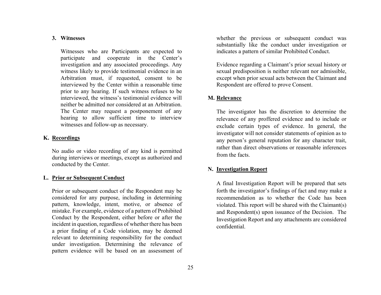#### <span id="page-30-0"></span>**3. Witnesses**

Witnesses who are Participants are expected to participate and cooperate in the Center's investigation and any associated proceedings. Any witness likely to provide testimonial evidence in an Arbitration must, if requested, consent to be interviewed by the Center within a reasonable time prior to any hearing. If such witness refuses to be interviewed, the witness's testimonial evidence will neither be admitted nor considered at an Arbitration. The Center may request a postponement of any hearing to allow sufficient time to interview witnesses and follow-up as necessary.

#### **K. Recordings**

No audio or video recording of any kind is permitted during interviews or meetings, except as authorized and conducted by the Center.

#### **L. Prior or Subsequent Conduct**

Prior or subsequent conduct of the Respondent may be considered for any purpose, including in determining pattern, knowledge, intent, motive, or absence of mistake. For example, evidence of a pattern of Prohibited Conduct by the Respondent, either before or after the incident in question, regardless of whether there has been a prior finding of a Code violation, may be deemed relevant to determining responsibility for the conduct under investigation. Determining the relevance of pattern evidence will be based on an assessment of

whether the previous or subsequent conduct was substantially like the conduct under investigation or indicates a pattern of similar Prohibited Conduct.

Evidence regarding a Claimant's prior sexual history or sexual predisposition is neither relevant nor admissible, except when prior sexual acts between the Claimant and Respondent are offered to prove Consent.

## **M. Relevance**

The investigator has the discretion to determine the relevance of any proffered evidence and to include or exclude certain types of evidence. In general, the investigator will not consider statements of opinion as to any person's general reputation for any character trait, rather than direct observations or reasonable inferences from the facts.

#### **N. Investigation Report**

A final Investigation Report will be prepared that sets forth the investigator's findings of fact and may make a recommendation as to whether the Code has been violated. This report will be shared with the Claimant(s) and Respondent(s) upon issuance of the Decision. The Investigation Report and any attachments are considered confidential.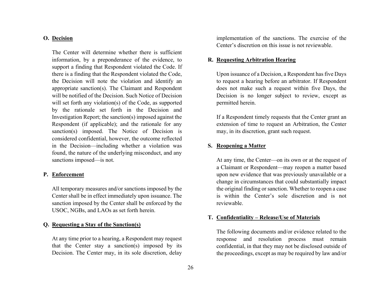#### <span id="page-31-0"></span>**O. Decision**

The Center will determine whether there is sufficient information, by a preponderance of the evidence, to support a finding that Respondent violated the Code. If there is a finding that the Respondent violated the Code, the Decision will note the violation and identify an appropriate sanction(s). The Claimant and Respondent will be notified of the Decision. Such Notice of Decision will set forth any violation(s) of the Code, as supported by the rationale set forth in the Decision and Investigation Report; the sanction(s) imposed against the Respondent (if applicable); and the rationale for any sanction(s) imposed. The Notice of Decision is considered confidential, however, the outcome reflected in the Decision—including whether a violation was found, the nature of the underlying misconduct, and any sanctions imposed—is not.

#### **P. Enforcement**

All temporary measures and/or sanctions imposed by the Center shall be in effect immediately upon issuance. The sanction imposed by the Center shall be enforced by the USOC, NGBs, and LAOs as set forth herein.

# **Q. Requesting a Stay of the Sanction(s)**

At any time prior to a hearing, a Respondent may request that the Center stay a sanction(s) imposed by its Decision. The Center may, in its sole discretion, delay

implementation of the sanctions. The exercise of the Center's discretion on this issue is not reviewable.

#### **R. Requesting Arbitration Hearing**

Upon issuance of a Decision, a Respondent has five Days to request a hearing before an arbitrator. If Respondent does not make such a request within five Days, the Decision is no longer subject to review, except as permitted herein.

If a Respondent timely requests that the Center grant an extension of time to request an Arbitration, the Center may, in its discretion, grant such request.

#### **S. Reopening a Matter**

At any time, the Center—on its own or at the request of a Claimant or Respondent—may reopen a matter based upon new evidence that was previously unavailable or a change in circumstances that could substantially impact the original finding or sanction. Whether to reopen a case is within the Center's sole discretion and is not reviewable.

#### **T. Confidentiality – Release/Use of Materials**

The following documents and/or evidence related to the response and resolution process must remain confidential, in that they may not be disclosed outside of the proceedings, except as may be required by law and/or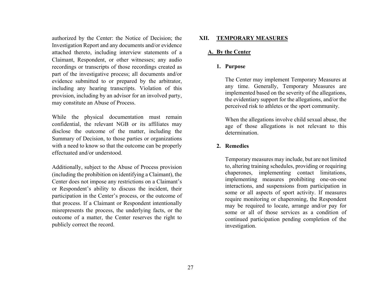<span id="page-32-0"></span>authorized by the Center: the Notice of Decision; the Investigation Report and any documents and/or evidence attached thereto, including interview statements of a Claimant, Respondent, or other witnesses; any audio recordings or transcripts of those recordings created as part of the investigative process; all documents and/or evidence submitted to or prepared by the arbitrator, including any hearing transcripts. Violation of this provision, including by an advisor for an involved party, may constitute an Abuse of Process.

While the physical documentation must remain confidential, the relevant NGB or its affiliates may disclose the outcome of the matter, including the Summary of Decision, to those parties or organizations with a need to know so that the outcome can be properly effectuated and/or understood.

Additionally, subject to the Abuse of Process provision (including the prohibition on identifying a Claimant), the Center does not impose any restrictions on a Claimant's or Respondent's ability to discuss the incident, their participation in the Center's process, or the outcome of that process. If a Claimant or Respondent intentionally misrepresents the process, the underlying facts, or the outcome of a matter, the Center reserves the right to publicly correct the record.

#### **XII.TEMPORARY MEASURES**

# **A. By the Center**

#### **1. Purpose**

The Center may implement Temporary Measures at any time. Generally, Temporary Measures are implemented based on the severity of the allegations, the evidentiary support for the allegations, and/or the perceived risk to athletes or the sport community.

When the allegations involve child sexual abuse, the age of those allegations is not relevant to this determination.

#### **2. Remedies**

Temporary measures may include, but are not limited to, altering training schedules, providing or requiring chaperones, implementing contact limitations, implementing measures prohibiting one-on-one interactions, and suspensions from participation in some or all aspects of sport activity. If measures require monitoring or chaperoning, the Respondent may be required to locate, arrange and/or pay for some or all of those services as a condition of continued participation pending completion of the investigation.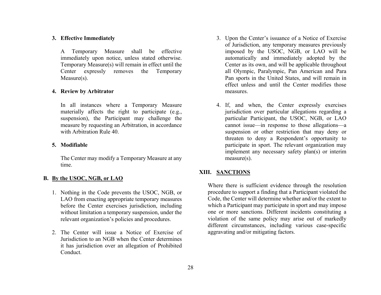#### <span id="page-33-0"></span>**3. Effective Immediately**

A Temporary Measure shall be effective immediately upon notice, unless stated otherwise. Temporary Measure(s) will remain in effect until the Center expressly removes the Temporary Measure(s).

#### **4. Review by Arbitrator**

In all instances where a Temporary Measure materially affects the right to participate (e.g., suspension), the Participant may challenge the measure by requesting an Arbitration, in accordance with Arbitration Rule 40.

#### **5. Modifiable**

The Center may modify a Temporary Measure at any time.

#### **B. By the USOC, NGB, or LAO**

- 1. Nothing in the Code prevents the USOC, NGB, or LAO from enacting appropriate temporary measures before the Center exercises jurisdiction, including without limitation a temporary suspension, under the relevant organization's policies and procedures.
- 2. The Center will issue a Notice of Exercise of Jurisdiction to an NGB when the Center determines it has jurisdiction over an allegation of Prohibited Conduct.
- 3. Upon the Center's issuance of a Notice of Exercise of Jurisdiction, any temporary measures previously imposed by the USOC, NGB, or LAO will be automatically and immediately adopted by the Center as its own, and will be applicable throughout all Olympic, Paralympic, Pan American and Para Pan sports in the United States, and will remain in effect unless and until the Center modifies those measures.
- 4. If, and when, the Center expressly exercises jurisdiction over particular allegations regarding a particular Participant, the USOC, NGB, or LAO cannot issue—in response to those allegations—a suspension or other restriction that may deny or threaten to deny a Respondent's opportunity to participate in sport. The relevant organization may implement any necessary safety plan(s) or interim measure(s).

#### **XIII. SANCTIONS**

Where there is sufficient evidence through the resolution procedure to support a finding that a Participant violated the Code, the Center will determine whether and/or the extent to which a Participant may participate in sport and may impose one or more sanctions. Different incidents constituting a violation of the same policy may arise out of markedly different circumstances, including various case-specific aggravating and/or mitigating factors.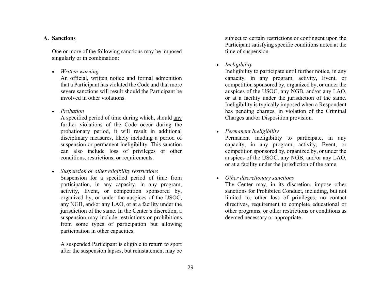#### <span id="page-34-0"></span>**A. Sanctions**

One or more of the following sanctions may be imposed singularly or in combination:

*Written warning*

An official, written notice and formal admonition that a Participant has violated the Code and that more severe sanctions will result should the Participant be involved in other violations.

*Probation*

A specified period of time during which, should any further violations of the Code occur during the probationary period, it will result in additional disciplinary measures, likely including a period of suspension or permanent ineligibility. This sanction can also include loss of privileges or other conditions, restrictions, or requirements.

 *Suspension or other eligibility restrictions* Suspension for a specified period of time from participation, in any capacity, in any program, activity, Event, or competition sponsored by, organized by, or under the auspices of the USOC, any NGB, and/or any LAO, or at a facility under the jurisdiction of the same. In the Center's discretion, a suspension may include restrictions or prohibitions from some types of participation but allowing participation in other capacities.

A suspended Participant is eligible to return to sport after the suspension lapses, but reinstatement may be subject to certain restrictions or contingent upon the Participant satisfying specific conditions noted at the time of suspension.

*Ineligibility* 

Ineligibility to participate until further notice, in any capacity, in any program, activity, Event, or competition sponsored by, organized by, or under the auspices of the USOC, any NGB, and/or any LAO, or at a facility under the jurisdiction of the same. Ineligibility is typically imposed when a Respondent has pending charges, in violation of the Criminal Charges and/or Disposition provision.

*Permanent Ineligibility*

Permanent ineligibility to participate, in any capacity, in any program, activity, Event, or competition sponsored by, organized by, or under the auspices of the USOC, any NGB, and/or any LAO, or at a facility under the jurisdiction of the same.

*Other discretionary sanctions*

The Center may, in its discretion, impose other sanctions for Prohibited Conduct, including, but not limited to, other loss of privileges, no contact directives, requirement to complete educational or other programs, or other restrictions or conditions as deemed necessary or appropriate.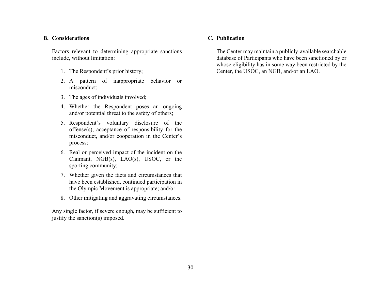# <span id="page-35-0"></span>**B. Considerations**

Factors relevant to determining appropriate sanctions include, without limitation:

- 1. The Respondent's prior history;
- 2. A pattern of inappropriate behavior or misconduct;
- 3. The ages of individuals involved;
- 4. Whether the Respondent poses an ongoing and/or potential threat to the safety of others;
- 5. Respondent's voluntary disclosure of the offense(s), acceptance of responsibility for the misconduct, and/or cooperation in the Center's process;
- 6. Real or perceived impact of the incident on the Claimant, NGB(s), LAO(s), USOC, or the sporting community;
- 7. Whether given the facts and circumstances that have been established, continued participation in the Olympic Movement is appropriate; and/or
- 8. Other mitigating and aggravating circumstances.

Any single factor, if severe enough, may be sufficient to justify the sanction(s) imposed.

# **C. Publication**

The Center may maintain a publicly-available searchable database of Participants who have been sanctioned by or whose eligibility has in some way been restricted by the Center, the USOC, an NGB, and/or an LAO.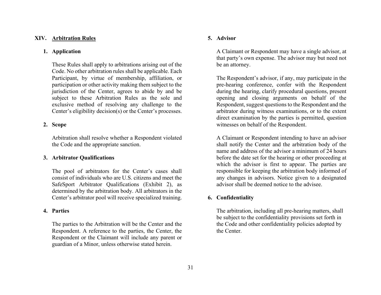#### <span id="page-36-0"></span>**XIV. Arbitration Rules**

#### **1. Application**

These Rules shall apply to arbitrations arising out of the Code. No other arbitration rules shall be applicable. Each Participant, by virtue of membership, affiliation, or participation or other activity making them subject to the jurisdiction of the Center, agrees to abide by and be subject to these Arbitration Rules as the sole and exclusive method of resolving any challenge to the Center's eligibility decision(s) or the Center's processes.

#### **2. Scope**

Arbitration shall resolve whether a Respondent violated the Code and the appropriate sanction.

#### **3. Arbitrator Qualifications**

The pool of arbitrators for the Center's cases shall consist of individuals who are U.S. citizens and meet the SafeSport Arbitrator Qualifications (Exhibit 2), as determined by the arbitration body. All arbitrators in the Center's arbitrator pool will receive specialized training.

#### **4. Parties**

The parties to the Arbitration will be the Center and the Respondent. A reference to the parties, the Center, the Respondent or the Claimant will include any parent or guardian of a Minor, unless otherwise stated herein.

#### **5. Advisor**

A Claimant or Respondent may have a single advisor, at that party's own expense. The advisor may but need not be an attorney.

The Respondent's advisor, if any, may participate in the pre-hearing conference, confer with the Respondent during the hearing, clarify procedural questions, present opening and closing arguments on behalf of the Respondent, suggest questions to the Respondent and the arbitrator during witness examinations, or to the extent direct examination by the parties is permitted, question witnesses on behalf of the Respondent.

A Claimant or Respondent intending to have an advisor shall notify the Center and the arbitration body of the name and address of the advisor a minimum of 24 hours before the date set for the hearing or other proceeding at which the advisor is first to appear. The parties are responsible for keeping the arbitration body informed of any changes in advisors. Notice given to a designated advisor shall be deemed notice to the advisee.

#### **6. Confidentiality**

The arbitration, including all pre-hearing matters, shall be subject to the confidentiality provisions set forth in the Code and other confidentiality policies adopted by the Center.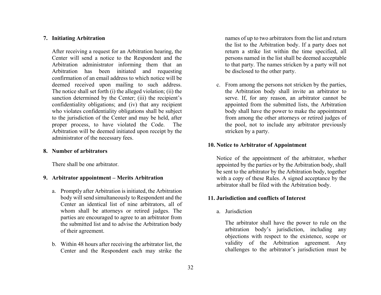#### <span id="page-37-0"></span>**7. Initiating Arbitration**

After receiving a request for an Arbitration hearing, the Center will send a notice to the Respondent and the Arbitration administrator informing them that an Arbitration has been initiated and requesting confirmation of an email address to which notice will be deemed received upon mailing to such address. The notice shall set forth (i) the alleged violation; (ii) the sanction determined by the Center; (iii) the recipient's confidentiality obligations; and (iv) that any recipient who violates confidentiality obligations shall be subject to the jurisdiction of the Center and may be held, after proper process, to have violated the Code. The Arbitration will be deemed initiated upon receipt by the administrator of the necessary fees.

#### **8. Number of arbitrators**

There shall be one arbitrator.

#### **9. Arbitrator appointment – Merits Arbitration**

- a. Promptly after Arbitration is initiated, the Arbitration body will send simultaneously to Respondent and the Center an identical list of nine arbitrators, all of whom shall be attorneys or retired judges. The parties are encouraged to agree to an arbitrator from the submitted list and to advise the Arbitration body of their agreement.
- b. Within 48 hours after receiving the arbitrator list, the Center and the Respondent each may strike the

names of up to two arbitrators from the list and return the list to the Arbitration body. If a party does not return a strike list within the time specified, all persons named in the list shall be deemed acceptable to that party. The names stricken by a party will not be disclosed to the other party.

c. From among the persons not stricken by the parties, the Arbitration body shall invite an arbitrator to serve. If, for any reason, an arbitrator cannot be appointed from the submitted lists, the Arbitration body shall have the power to make the appointment from among the other attorneys or retired judges of the pool, not to include any arbitrator previously stricken by a party.

#### **10. Notice to Arbitrator of Appointment**

Notice of the appointment of the arbitrator, whether appointed by the parties or by the Arbitration body, shall be sent to the arbitrator by the Arbitration body, together with a copy of these Rules. A signed acceptance by the arbitrator shall be filed with the Arbitration body.

#### **11. Jurisdiction and conflicts of Interest**

a. Jurisdiction

The arbitrator shall have the power to rule on the arbitration body's jurisdiction, including any objections with respect to the existence, scope or validity of the Arbitration agreement. Any challenges to the arbitrator's jurisdiction must be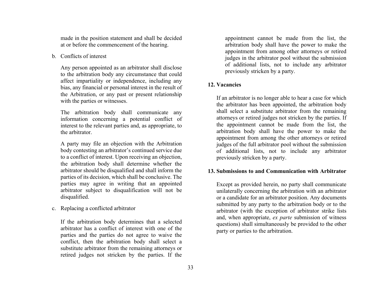<span id="page-38-0"></span>made in the position statement and shall be decided at or before the commencement of the hearing.

b. Conflicts of interest

Any person appointed as an arbitrator shall disclose to the arbitration body any circumstance that could affect impartiality or independence, including any bias, any financial or personal interest in the result of the Arbitration, or any past or present relationship with the parties or witnesses.

The arbitration body shall communicate any information concerning a potential conflict of interest to the relevant parties and, as appropriate, to the arbitrator.

A party may file an objection with the Arbitration body contesting an arbitrator's continued service due to a conflict of interest. Upon receiving an objection, the arbitration body shall determine whether the arbitrator should be disqualified and shall inform the parties of its decision, which shall be conclusive. The parties may agree in writing that an appointed arbitrator subject to disqualification will not be disqualified.

c. Replacing a conflicted arbitrator

If the arbitration body determines that a selected arbitrator has a conflict of interest with one of the parties and the parties do not agree to waive the conflict, then the arbitration body shall select a substitute arbitrator from the remaining attorneys or retired judges not stricken by the parties. If the appointment cannot be made from the list, the arbitration body shall have the power to make the appointment from among other attorneys or retired judges in the arbitrator pool without the submission of additional lists, not to include any arbitrator previously stricken by a party.

# **12. Vacancies**

If an arbitrator is no longer able to hear a case for which the arbitrator has been appointed, the arbitration body shall select a substitute arbitrator from the remaining attorneys or retired judges not stricken by the parties. If the appointment cannot be made from the list, the arbitration body shall have the power to make the appointment from among the other attorneys or retired judges of the full arbitrator pool without the submission of additional lists, not to include any arbitrator previously stricken by a party.

## **13. Submissions to and Communication with Arbitrator**

Except as provided herein, no party shall communicate unilaterally concerning the arbitration with an arbitrator or a candidate for an arbitrator position. Any documents submitted by any party to the arbitration body or to the arbitrator (with the exception of arbitrator strike lists and, when appropriate, *ex parte* submission of witness questions) shall simultaneously be provided to the other party or parties to the arbitration.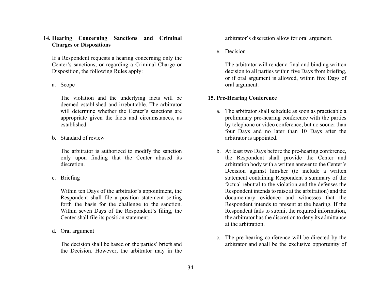# <span id="page-39-0"></span>**14. Hearing Concerning Sanctions and Criminal Charges or Dispositions**

If a Respondent requests a hearing concerning only the Center's sanctions, or regarding a Criminal Charge or Disposition, the following Rules apply:

a. Scope

The violation and the underlying facts will be deemed established and irrebuttable. The arbitrator will determine whether the Center's sanctions are appropriate given the facts and circumstances, as established.

b. Standard of review

The arbitrator is authorized to modify the sanction only upon finding that the Center abused its discretion.

c. Briefing

Within ten Days of the arbitrator's appointment, the Respondent shall file a position statement setting forth the basis for the challenge to the sanction. Within seven Days of the Respondent's filing, the Center shall file its position statement.

d. Oral argument

The decision shall be based on the parties' briefs and the Decision. However, the arbitrator may in the arbitrator's discretion allow for oral argument.

e. Decision

The arbitrator will render a final and binding written decision to all parties within five Days from briefing, or if oral argument is allowed, within five Days of oral argument.

## **15. Pre-Hearing Conference**

- a. The arbitrator shall schedule as soon as practicable a preliminary pre-hearing conference with the parties by telephone or video conference, but no sooner than four Days and no later than 10 Days after the arbitrator is appointed.
- b. At least two Days before the pre-hearing conference, the Respondent shall provide the Center and arbitration body with a written answer to the Center's Decision against him/her (to include a written statement containing Respondent's summary of the factual rebuttal to the violation and the defenses the Respondent intends to raise at the arbitration) and the documentary evidence and witnesses that the Respondent intends to present at the hearing. If the Respondent fails to submit the required information, the arbitrator has the discretion to deny its admittance at the arbitration.
- c. The pre-hearing conference will be directed by the arbitrator and shall be the exclusive opportunity of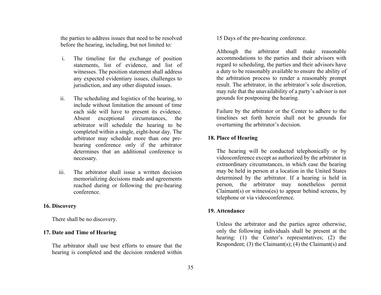<span id="page-40-0"></span>the parties to address issues that need to be resolved before the hearing, including, but not limited to:

- i. The timeline for the exchange of position statements, list of evidence, and list of witnesses. The position statement shall address any expected evidentiary issues, challenges to jurisdiction, and any other disputed issues.
- ii. The scheduling and logistics of the hearing, to include without limitation the amount of time each side will have to present its evidence. Absent exceptional circumstances, the arbitrator will schedule the hearing to be completed within a single, eight-hour day. The arbitrator may schedule more than one prehearing conference only if the arbitrator determines that an additional conference is necessary.
- iii. The arbitrator shall issue a written decision memorializing decisions made and agreements reached during or following the pre-hearing conference.

#### **16. Discovery**

There shall be no discovery.

#### **17. Date and Time of Hearing**

The arbitrator shall use best efforts to ensure that the hearing is completed and the decision rendered within 15 Days of the pre-hearing conference.

Although the arbitrator shall make reasonable accommodations to the parties and their advisors with regard to scheduling, the parties and their advisors have a duty to be reasonably available to ensure the ability of the arbitration process to render a reasonably prompt result. The arbitrator, in the arbitrator's sole discretion, may rule that the unavailability of a party's advisor is not grounds for postponing the hearing.

Failure by the arbitrator or the Center to adhere to the timelines set forth herein shall not be grounds for overturning the arbitrator's decision.

#### **18. Place of Hearing**

The hearing will be conducted telephonically or by videoconference except as authorized by the arbitrator in extraordinary circumstances, in which case the hearing may be held in person at a location in the United States determined by the arbitrator. If a hearing is held in person, the arbitrator may nonetheless permit Claimant(s) or witness(es) to appear behind screens, by telephone or via videoconference.

#### **19. Attendance**

Unless the arbitrator and the parties agree otherwise, only the following individuals shall be present at the hearing: (1) the Center's representatives; (2) the Respondent; (3) the Claimant(s); (4) the Claimant(s) and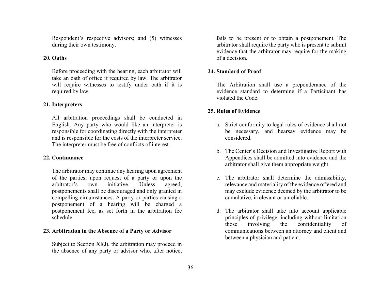<span id="page-41-0"></span>Respondent's respective advisors; and (5) witnesses during their own testimony.

#### **20. Oaths**

Before proceeding with the hearing, each arbitrator will take an oath of office if required by law. The arbitrator will require witnesses to testify under oath if it is required by law.

# **21. Interpreters**

All arbitration proceedings shall be conducted in English. Any party who would like an interpreter is responsible for coordinating directly with the interpreter and is responsible for the costs of the interpreter service. The interpreter must be free of conflicts of interest.

## **22. Continuance**

The arbitrator may continue any hearing upon agreement of the parties, upon request of a party or upon the arbitrator's own initiative. Unless agreed, postponements shall be discouraged and only granted in compelling circumstances. A party or parties causing a postponement of a hearing will be charged a postponement fee, as set forth in the arbitration fee schedule.

# **23. Arbitration in the Absence of a Party or Advisor**

Subject to Section XI(J), the arbitration may proceed in the absence of any party or advisor who, after notice,

fails to be present or to obtain a postponement. The arbitrator shall require the party who is present to submit evidence that the arbitrator may require for the making of a decision.

# **24. Standard of Proof**

The Arbitration shall use a preponderance of the evidence standard to determine if a Participant has violated the Code.

# **25. Rules of Evidence**

- a. Strict conformity to legal rules of evidence shall not be necessary, and hearsay evidence may be considered.
- b. The Center's Decision and Investigative Report with Appendices shall be admitted into evidence and the arbitrator shall give them appropriate weight.
- c. The arbitrator shall determine the admissibility, relevance and materiality of the evidence offered and may exclude evidence deemed by the arbitrator to be cumulative, irrelevant or unreliable.
- d. The arbitrator shall take into account applicable principles of privilege, including without limitation those involving the confidentiality of communications between an attorney and client and between a physician and patient.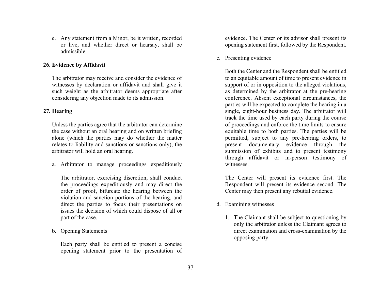<span id="page-42-0"></span>e. Any statement from a Minor, be it written, recorded or live, and whether direct or hearsay, shall be admissible.

# **26. Evidence by Affidavit**

The arbitrator may receive and consider the evidence of witnesses by declaration or affidavit and shall give it such weight as the arbitrator deems appropriate after considering any objection made to its admission.

# **27. Hearing**

Unless the parties agree that the arbitrator can determine the case without an oral hearing and on written briefing alone (which the parties may do whether the matter relates to liability and sanctions or sanctions only), the arbitrator will hold an oral hearing.

a. Arbitrator to manage proceedings expeditiously

The arbitrator, exercising discretion, shall conduct the proceedings expeditiously and may direct the order of proof, bifurcate the hearing between the violation and sanction portions of the hearing, and direct the parties to focus their presentations on issues the decision of which could dispose of all or part of the case.

b. Opening Statements

Each party shall be entitled to present a concise opening statement prior to the presentation of evidence. The Center or its advisor shall present its opening statement first, followed by the Respondent.

c. Presenting evidence

Both the Center and the Respondent shall be entitled to an equitable amount of time to present evidence in support of or in opposition to the alleged violations, as determined by the arbitrator at the pre-hearing conference. Absent exceptional circumstances, the parties will be expected to complete the hearing in a single, eight-hour business day. The arbitrator will track the time used by each party during the course of proceedings and enforce the time limits to ensure equitable time to both parties. The parties will be permitted, subject to any pre-hearing orders, to present documentary evidence through the submission of exhibits and to present testimony through affidavit or in-person testimony of witnesses.

The Center will present its evidence first. The Respondent will present its evidence second. The Center may then present any rebuttal evidence.

- d. Examining witnesses
	- 1. The Claimant shall be subject to questioning by only the arbitrator unless the Claimant agrees to direct examination and cross-examination by the opposing party.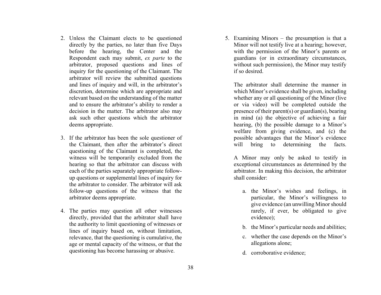- 2. Unless the Claimant elects to be questioned directly by the parties, no later than five Days before the hearing, the Center and the Respondent each may submit, *ex parte* to the arbitrator, proposed questions and lines of inquiry for the questioning of the Claimant. The arbitrator will review the submitted questions and lines of inquiry and will, in the arbitrator's discretion, determine which are appropriate and relevant based on the understanding of the matter and to ensure the arbitrator's ability to render a decision in the matter. The arbitrator also may ask such other questions which the arbitrator deems appropriate.
- 3. If the arbitrator has been the sole questioner of the Claimant, then after the arbitrator's direct questioning of the Claimant is completed, the witness will be temporarily excluded from the hearing so that the arbitrator can discuss with each of the parties separately appropriate followup questions or supplemental lines of inquiry for the arbitrator to consider. The arbitrator will ask follow-up questions of the witness that the arbitrator deems appropriate.
- 4. The parties may question all other witnesses directly, provided that the arbitrator shall have the authority to limit questioning of witnesses or lines of inquiry based on, without limitation, relevance, that the questioning is cumulative, the age or mental capacity of the witness, or that the questioning has become harassing or abusive.

5. Examining Minors – the presumption is that a Minor will not testify live at a hearing; however, with the permission of the Minor's parents or guardians (or in extraordinary circumstances, without such permission), the Minor may testify if so desired.

The arbitrator shall determine the manner in which Minor's evidence shall be given, including whether any or all questioning of the Minor (live or via video) will be completed outside the presence of their parent(s) or guardian(s), bearing in mind (a) the objective of achieving a fair hearing, (b) the possible damage to a Minor's welfare from giving evidence, and (c) the possible advantages that the Minor's evidence will bring to determining the facts.

A Minor may only be asked to testify in exceptional circumstances as determined by the arbitrator. In making this decision, the arbitrator shall consider:

- a. the Minor's wishes and feelings, in particular, the Minor's willingness to give evidence (an unwilling Minor should rarely, if ever, be obligated to give evidence);
- b. the Minor's particular needs and abilities;
- c. whether the case depends on the Minor's allegations alone;
- d. corroborative evidence;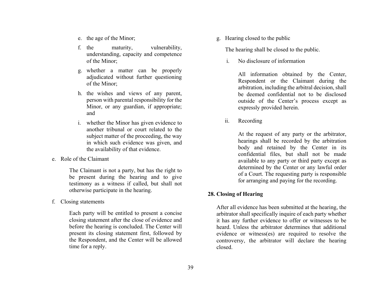- <span id="page-44-0"></span>e. the age of the Minor;
- f the maturity, vulnerability, understanding, capacity and competence of the Minor;
- g. whether a matter can be properly adjudicated without further questioning of the Minor;
- h. the wishes and views of any parent, person with parental responsibility for the Minor, or any guardian, if appropriate; and
- i. whether the Minor has given evidence to another tribunal or court related to the subject matter of the proceeding, the way in which such evidence was given, and the availability of that evidence.
- e. Role of the Claimant

The Claimant is not a party, but has the right to be present during the hearing and to give testimony as a witness if called, but shall not otherwise participate in the hearing.

f. Closing statements

Each party will be entitled to present a concise closing statement after the close of evidence and before the hearing is concluded. The Center will present its closing statement first, followed by the Respondent, and the Center will be allowed time for a reply.

g. Hearing closed to the public

The hearing shall be closed to the public.

i.No disclosure of information

> All information obtained by the Center, Respondent or the Claimant during the arbitration, including the arbitral decision, shall be deemed confidential not to be disclosed outside of the Center's process except as expressly provided herein.

ii.Recording

> At the request of any party or the arbitrator, hearings shall be recorded by the arbitration body and retained by the Center in its confidential files, but shall not be made available to any party or third party except as determined by the Center or any lawful order of a Court. The requesting party is responsible for arranging and paying for the recording.

#### **28. Closing of Hearing**

After all evidence has been submitted at the hearing, the arbitrator shall specifically inquire of each party whether it has any further evidence to offer or witnesses to be heard. Unless the arbitrator determines that additional evidence or witness(es) are required to resolve the controversy, the arbitrator will declare the hearing closed.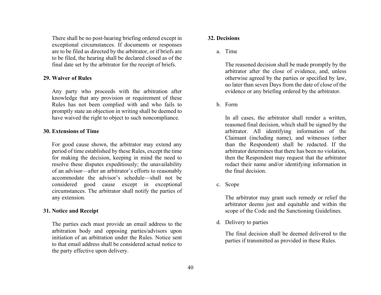<span id="page-45-0"></span>There shall be no post-hearing briefing ordered except in exceptional circumstances. If documents or responses are to be filed as directed by the arbitrator, or if briefs are to be filed, the hearing shall be declared closed as of the final date set by the arbitrator for the receipt of briefs.

#### **29. Waiver of Rules**

Any party who proceeds with the arbitration after knowledge that any provision or requirement of these Rules has not been complied with and who fails to promptly state an objection in writing shall be deemed to have waived the right to object to such noncompliance.

#### **30. Extensions of Time**

For good cause shown, the arbitrator may extend any period of time established by these Rules, except the time for making the decision, keeping in mind the need to resolve these disputes expeditiously; the unavailability of an advisor—after an arbitrator's efforts to reasonably accommodate the advisor's schedule—shall not be considered good cause except in exceptional circumstances. The arbitrator shall notify the parties of any extension.

#### **31. Notice and Receipt**

The parties each must provide an email address to the arbitration body and opposing parties/advisors upon initiation of an arbitration under the Rules. Notice sent to that email address shall be considered actual notice to the party effective upon delivery.

#### **32. Decisions**

a. Time

The reasoned decision shall be made promptly by the arbitrator after the close of evidence, and, unless otherwise agreed by the parties or specified by law, no later than seven Days from the date of close of the evidence or any briefing ordered by the arbitrator.

b. Form

In all cases, the arbitrator shall render a written, reasoned final decision, which shall be signed by the arbitrator. All identifying information of the Claimant (including name), and witnesses (other than the Respondent) shall be redacted. If the arbitrator determines that there has been no violation, then the Respondent may request that the arbitrator redact their name and/or identifying information in the final decision.

c. Scope

The arbitrator may grant such remedy or relief the arbitrator deems just and equitable and within the scope of the Code and the Sanctioning Guidelines.

d. Delivery to parties

The final decision shall be deemed delivered to the parties if transmitted as provided in these Rules.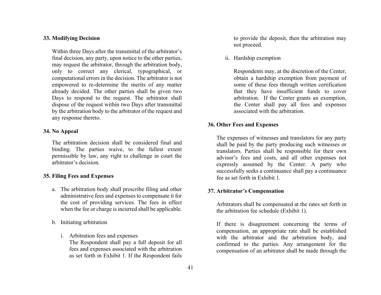#### <span id="page-46-0"></span>**33. Modifying Decision**

Within three Days after the transmittal of the arbitrator's final decision, any party, upon notice to the other parties, may request the arbitrator, through the arbitration body, only to correct any clerical, typographical, or computational errors in the decision. The arbitrator is not empowered to re-determine the merits of any matter already decided. The other parties shall be given two Days to respond to the request. The arbitrator shall dispose of the request within two Days after transmittal by the arbitration body to the arbitrator of the request and any response thereto.

#### **34. No Appeal**

The arbitration decision shall be considered final and binding. The parties waive, to the fullest extent permissible by law, any right to challenge in court the arbitrator's decision.

#### **35. Filing Fees and Expenses**

- a. The arbitration body shall prescribe filing and other administrative fees and expenses to compensate it for the cost of providing services. The fees in effect when the fee or charge is incurred shall be applicable.
- b. Initiating arbitration
	- i. Arbitration fees and expenses

The Respondent shall pay a full deposit for all fees and expenses associated with the arbitration as set forth in Exhibit 1. If the Respondent fails to provide the deposit, then the arbitration may not proceed.

ii. Hardship exemption

Respondents may, at the discretion of the Center, obtain a hardship exemption from payment of some of these fees through written certification that they have insufficient funds to cover arbitration. If the Center grants an exemption, the Center shall pay all fees and expenses associated with the arbitration.

## **36. Other Fees and Expenses**

The expenses of witnesses and translators for any party shall be paid by the party producing such witnesses or translators. Parties shall be responsible for their own advisor's fees and costs, and all other expenses not expressly assumed by the Center. A party who successfully seeks a continuance shall pay a continuance fee as set forth in Exhibit 1.

#### **37. Arbitrator's Compensation**

Arbitrators shall be compensated at the rates set forth in the arbitration fee schedule (Exhibit 1).

If there is disagreement concerning the terms of compensation, an appropriate rate shall be established with the arbitrator and the arbitration body, and confirmed to the parties. Any arrangement for the compensation of an arbitrator shall be made through the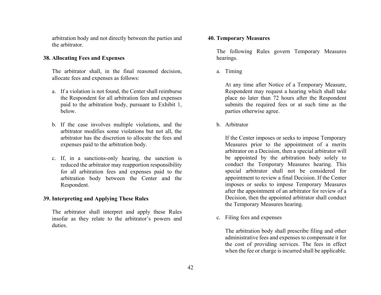<span id="page-47-0"></span>arbitration body and not directly between the parties and the arbitrator.

## **38. Allocating Fees and Expenses**

The arbitrator shall, in the final reasoned decision, allocate fees and expenses as follows:

- a. If a violation is not found, the Center shall reimburse the Respondent for all arbitration fees and expenses paid to the arbitration body, pursuant to Exhibit 1, below.
- b. If the case involves multiple violations, and the arbitrator modifies some violations but not all, the arbitrator has the discretion to allocate the fees and expenses paid to the arbitration body.
- c. If, in a sanctions-only hearing, the sanction is reduced the arbitrator may reapportion responsibility for all arbitration fees and expenses paid to the arbitration body between the Center and the Respondent.

# **39. Interpreting and Applying These Rules**

The arbitrator shall interpret and apply these Rules insofar as they relate to the arbitrator's powers and duties.

#### **40. Temporary Measures**

The following Rules govern Temporary Measures hearings.

a. Timing

At any time after Notice of a Temporary Measure, Respondent may request a hearing which shall take place no later than 72 hours after the Respondent submits the required fees or at such time as the parties otherwise agree.

b. Arbitrator

If the Center imposes or seeks to impose Temporary Measures prior to the appointment of a merits arbitrator on a Decision, then a special arbitrator will be appointed by the arbitration body solely to conduct the Temporary Measures hearing. This special arbitrator shall not be considered for appointment to review a final Decision. If the Center imposes or seeks to impose Temporary Measures after the appointment of an arbitrator for review of a Decision, then the appointed arbitrator shall conduct the Temporary Measures hearing.

c. Filing fees and expenses

The arbitration body shall prescribe filing and other administrative fees and expenses to compensate it for the cost of providing services. The fees in effect when the fee or charge is incurred shall be applicable.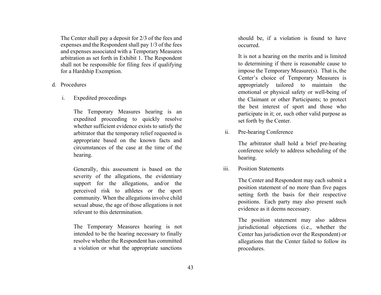<span id="page-48-0"></span>The Center shall pay a deposit for 2/3 of the fees and expenses and the Respondent shall pay 1/3 of the fees and expenses associated with a Temporary Measures arbitration as set forth in Exhibit 1. The Respondent shall not be responsible for filing fees if qualifying for a Hardship Exemption.

- d. Procedures
	- i.Expedited proceedings

The Temporary Measures hearing is an expedited proceeding to quickly resolve whether sufficient evidence exists to satisfy the arbitrator that the temporary relief requested is appropriate based on the known facts and circumstances of the case at the time of the hearing.

Generally, this assessment is based on the severity of the allegations, the evidentiary support for the allegations, and/or the perceived risk to athletes or the sport community. When the allegations involve child sexual abuse, the age of those allegations is not relevant to this determination.

The Temporary Measures hearing is not intended to be the hearing necessary to finally resolve whether the Respondent has committed a violation or what the appropriate sanctions

should be, if a violation is found to have occurred.

It is not a hearing on the merits and is limited to determining if there is reasonable cause to impose the Temporary Measure(s). That is, the Center's choice of Temporary Measures is appropriately tailored to maintain the emotional or physical safety or well-being of the Claimant or other Participants; to protect the best interest of sport and those who participate in it; or, such other valid purpose as set forth by the Center.

ii.Pre-hearing Conference

> The arbitrator shall hold a brief pre-hearing conference solely to address scheduling of the hearing.

iii.Position Statements

> The Center and Respondent may each submit a position statement of no more than five pages setting forth the basis for their respective positions. Each party may also present such evidence as it deems necessary.

> The position statement may also address jurisdictional objections (i.e., whether the Center has jurisdiction over the Respondent) or allegations that the Center failed to follow its procedures.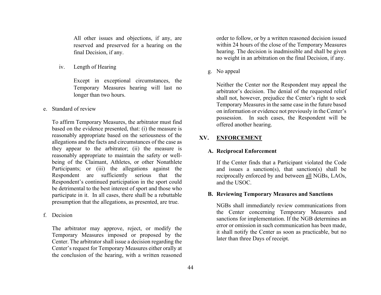<span id="page-49-0"></span>All other issues and objections, if any, are reserved and preserved for a hearing on the final Decision, if any.

iv.Length of Hearing

> Except in exceptional circumstances, the Temporary Measures hearing will last no longer than two hours.

e. Standard of review

To affirm Temporary Measures, the arbitrator must find based on the evidence presented, that: (i) the measure is reasonably appropriate based on the seriousness of the allegations and the facts and circumstances of the case as they appear to the arbitrator; (ii) the measure is reasonably appropriate to maintain the safety or wellbeing of the Claimant, Athletes, or other Nonathlete Participants; or (iii) the allegations against the Respondent are sufficiently serious that the Respondent's continued participation in the sport could be detrimental to the best interest of sport and those who participate in it. In all cases, there shall be a rebuttable presumption that the allegations, as presented, are true.

f. Decision

The arbitrator may approve, reject, or modify the Temporary Measures imposed or proposed by the Center. The arbitrator shall issue a decision regarding the Center's request for Temporary Measures either orally at the conclusion of the hearing, with a written reasoned order to follow, or by a written reasoned decision issued within 24 hours of the close of the Temporary Measures hearing. The decision is inadmissible and shall be given no weight in an arbitration on the final Decision, if any.

g. No appeal

Neither the Center nor the Respondent may appeal the arbitrator's decision. The denial of the requested relief shall not, however, prejudice the Center's right to seek Temporary Measures in the same case in the future based on information or evidence not previously in the Center's possession. In such cases, the Respondent will be offered another hearing.

#### **XV.ENFORCEMENT**

#### **A. Reciprocal Enforcement**

If the Center finds that a Participant violated the Code and issues a sanction(s), that sanction(s) shall be reciprocally enforced by and between all NGBs, LAOs, and the USOC.

#### **B. Reviewing Temporary Measures and Sanctions**

NGBs shall immediately review communications from the Center concerning Temporary Measures and sanctions for implementation. If the NGB determines an error or omission in such communication has been made, it shall notify the Center as soon as practicable, but no later than three Days of receipt.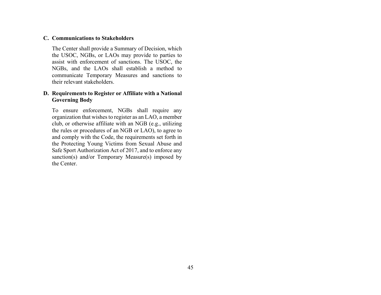# <span id="page-50-0"></span>**C. Communications to Stakeholders**

The Center shall provide a Summary of Decision, which the USOC, NGBs, or LAOs may provide to parties to assist with enforcement of sanctions. The USOC, the NGBs, and the LAOs shall establish a method to communicate Temporary Measures and sanctions to their relevant stakeholders.

# **D. Requirements to Register or Affiliate with a National Governing Body**

To ensure enforcement, NGBs shall require any organization that wishes to register as an LAO, a member club, or otherwise affiliate with an NGB (e.g., utilizing the rules or procedures of an NGB or LAO), to agree to and comply with the Code, the requirements set forth in the Protecting Young Victims from Sexual Abuse and Safe Sport Authorization Act of 2017, and to enforce any sanction(s) and/or Temporary Measure(s) imposed by the Center.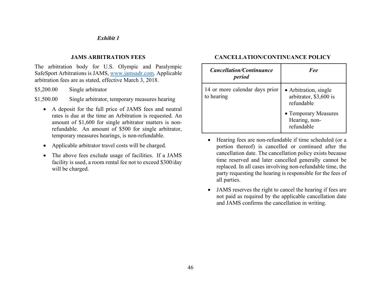## *Exhibit 1*

# **JAMS ARBITRATION FEES**

<span id="page-51-0"></span>The arbitration body for U.S. Olympic and Paralympic SafeSport Arbitrations is JAMS, www.jamsadr.com. Applicable arbitration fees are as stated, effective March 3, 2018.

\$5,200.00 Single arbitrator

\$1,500.00 Single arbitrator, temporary measures hearing

- A deposit for the full price of JAMS fees and neutral rates is due at the time an Arbitration is requested. An amount of \$1,600 for single arbitrator matters is nonrefundable. An amount of \$500 for single arbitrator, temporary measures hearings, is non-refundable.
- $\bullet$ Applicable arbitrator travel costs will be charged.
- $\bullet$  The above fees exclude usage of facilities. If a JAMS facility is used, a room rental fee not to exceed \$300/day will be charged.

# **CANCELLATION/CONTINUANCE POLICY**

| <i>Cancellation/Continuance</i><br>period    | $F \rho \rho$                                                 |
|----------------------------------------------|---------------------------------------------------------------|
| 14 or more calendar days prior<br>to hearing | • Arbitration, single<br>arbitrator, \$3,600 is<br>refundable |
|                                              | • Temporary Measures<br>Hearing, non-<br>refundable           |

- $\bullet$  Hearing fees are non-refundable if time scheduled (or a portion thereof) is cancelled or continued after the cancellation date. The cancellation policy exists because time reserved and later cancelled generally cannot be replaced. In all cases involving non-refundable time, the party requesting the hearing is responsible for the fees of all parties.
- $\bullet$  JAMS reserves the right to cancel the hearing if fees are not paid as required by the applicable cancellation date and JAMS confirms the cancellation in writing.